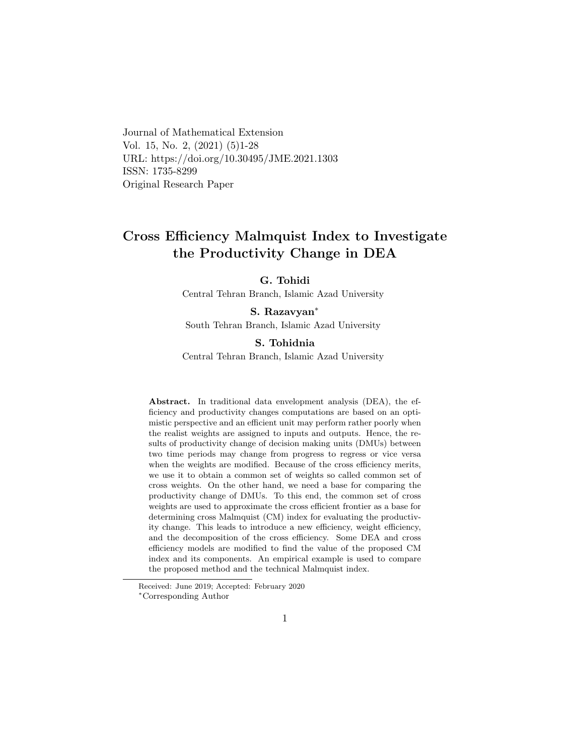Journal of Mathematical Extension Vol. 15, No. 2, (2021) (5)1-28 URL: https://doi.org/10.30495/JME.2021.1303 ISSN: 1735-8299 Original Research Paper

# Cross Efficiency Malmquist Index to Investigate the Productivity Change in DEA

G. Tohidi

Central Tehran Branch, Islamic Azad University

#### S. Razavyan[∗](#page-0-0)

South Tehran Branch, Islamic Azad University

#### S. Tohidnia

Central Tehran Branch, Islamic Azad University

Abstract. In traditional data envelopment analysis (DEA), the efficiency and productivity changes computations are based on an optimistic perspective and an efficient unit may perform rather poorly when the realist weights are assigned to inputs and outputs. Hence, the results of productivity change of decision making units (DMUs) between two time periods may change from progress to regress or vice versa when the weights are modified. Because of the cross efficiency merits, we use it to obtain a common set of weights so called common set of cross weights. On the other hand, we need a base for comparing the productivity change of DMUs. To this end, the common set of cross weights are used to approximate the cross efficient frontier as a base for determining cross Malmquist (CM) index for evaluating the productivity change. This leads to introduce a new efficiency, weight efficiency, and the decomposition of the cross efficiency. Some DEA and cross efficiency models are modified to find the value of the proposed CM index and its components. An empirical example is used to compare the proposed method and the technical Malmquist index.

Received: June 2019; Accepted: February 2020

<span id="page-0-0"></span><sup>∗</sup>Corresponding Author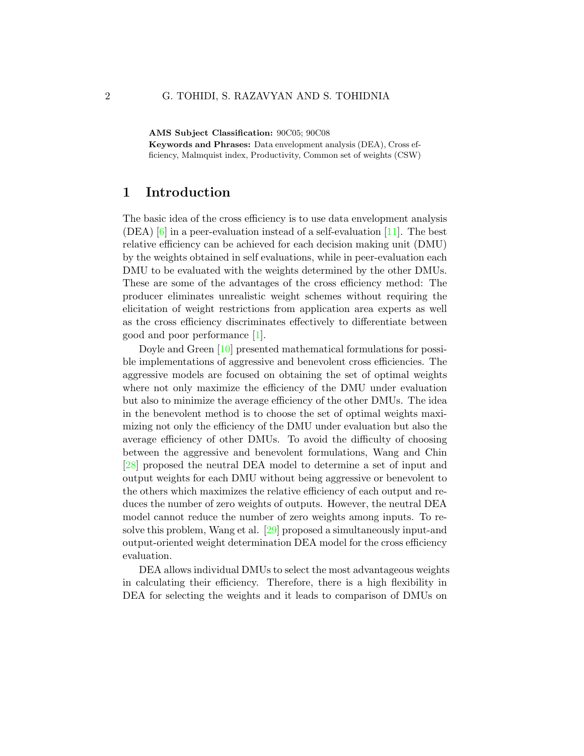AMS Subject Classification: 90C05; 90C08

Keywords and Phrases: Data envelopment analysis (DEA), Cross efficiency, Malmquist index, Productivity, Common set of weights (CSW)

### 1 Introduction

The basic idea of the cross efficiency is to use data envelopment analysis (DEA)  $\left[6\right]$  in a peer-evaluation instead of a self-evaluation  $\left[11\right]$ . The best relative efficiency can be achieved for each decision making unit (DMU) by the weights obtained in self evaluations, while in peer-evaluation each DMU to be evaluated with the weights determined by the other DMUs. These are some of the advantages of the cross efficiency method: The producer eliminates unrealistic weight schemes without requiring the elicitation of weight restrictions from application area experts as well as the cross efficiency discriminates effectively to differentiate between good and poor performance [\[1\]](#page-24-1).

Doyle and Green [\[10\]](#page-25-1) presented mathematical formulations for possible implementations of aggressive and benevolent cross efficiencies. The aggressive models are focused on obtaining the set of optimal weights where not only maximize the efficiency of the DMU under evaluation but also to minimize the average efficiency of the other DMUs. The idea in the benevolent method is to choose the set of optimal weights maximizing not only the efficiency of the DMU under evaluation but also the average efficiency of other DMUs. To avoid the difficulty of choosing between the aggressive and benevolent formulations, Wang and Chin [\[28\]](#page-26-0) proposed the neutral DEA model to determine a set of input and output weights for each DMU without being aggressive or benevolent to the others which maximizes the relative efficiency of each output and reduces the number of zero weights of outputs. However, the neutral DEA model cannot reduce the number of zero weights among inputs. To resolve this problem, Wang et al. [\[29\]](#page-27-0) proposed a simultaneously input-and output-oriented weight determination DEA model for the cross efficiency evaluation.

DEA allows individual DMUs to select the most advantageous weights in calculating their efficiency. Therefore, there is a high flexibility in DEA for selecting the weights and it leads to comparison of DMUs on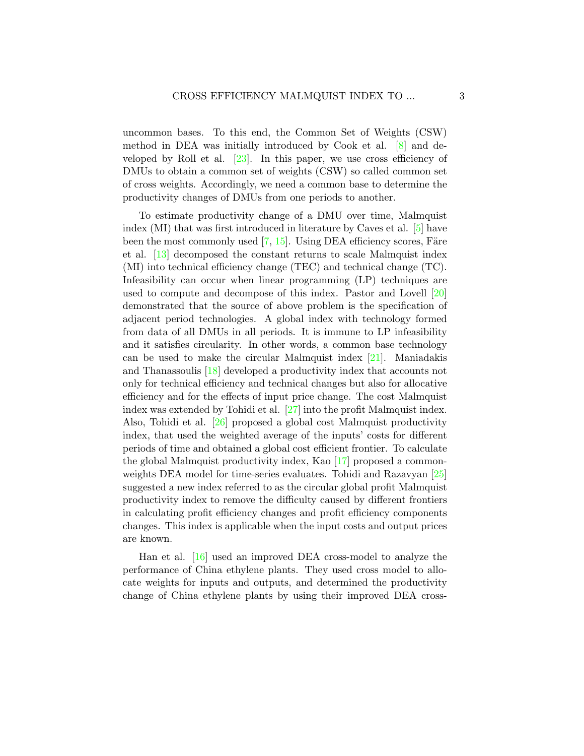uncommon bases. To this end, the Common Set of Weights (CSW) method in DEA was initially introduced by Cook et al. [\[8\]](#page-25-2) and developed by Roll et al. [\[23\]](#page-26-1). In this paper, we use cross efficiency of DMUs to obtain a common set of weights (CSW) so called common set of cross weights. Accordingly, we need a common base to determine the productivity changes of DMUs from one periods to another.

To estimate productivity change of a DMU over time, Malmquist index (MI) that was first introduced in literature by Caves et al. [\[5\]](#page-24-2) have been the most commonly used  $[7, 15]$  $[7, 15]$  $[7, 15]$ . Using DEA efficiency scores, Färe et al. [\[13\]](#page-25-4) decomposed the constant returns to scale Malmquist index (MI) into technical efficiency change (TEC) and technical change (TC). Infeasibility can occur when linear programming (LP) techniques are used to compute and decompose of this index. Pastor and Lovell [\[20\]](#page-26-2) demonstrated that the source of above problem is the specification of adjacent period technologies. A global index with technology formed from data of all DMUs in all periods. It is immune to LP infeasibility and it satisfies circularity. In other words, a common base technology can be used to make the circular Malmquist index [\[21\]](#page-26-3). Maniadakis and Thanassoulis [\[18\]](#page-26-4) developed a productivity index that accounts not only for technical efficiency and technical changes but also for allocative efficiency and for the effects of input price change. The cost Malmquist index was extended by Tohidi et al. [\[27\]](#page-26-5) into the profit Malmquist index. Also, Tohidi et al. [\[26\]](#page-26-6) proposed a global cost Malmquist productivity index, that used the weighted average of the inputs' costs for different periods of time and obtained a global cost efficient frontier. To calculate the global Malmquist productivity index, Kao [\[17\]](#page-25-5) proposed a commonweights DEA model for time-series evaluates. Tohidi and Razavyan [\[25\]](#page-26-7) suggested a new index referred to as the circular global profit Malmquist productivity index to remove the difficulty caused by different frontiers in calculating profit efficiency changes and profit efficiency components changes. This index is applicable when the input costs and output prices are known.

Han et al. [\[16\]](#page-25-6) used an improved DEA cross-model to analyze the performance of China ethylene plants. They used cross model to allocate weights for inputs and outputs, and determined the productivity change of China ethylene plants by using their improved DEA cross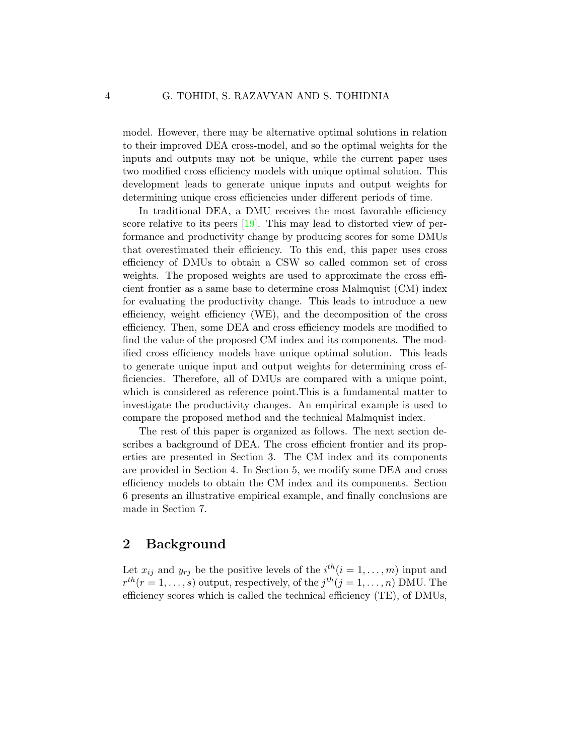model. However, there may be alternative optimal solutions in relation to their improved DEA cross-model, and so the optimal weights for the inputs and outputs may not be unique, while the current paper uses two modified cross efficiency models with unique optimal solution. This development leads to generate unique inputs and output weights for determining unique cross efficiencies under different periods of time.

In traditional DEA, a DMU receives the most favorable efficiency score relative to its peers [\[19\]](#page-26-8). This may lead to distorted view of performance and productivity change by producing scores for some DMUs that overestimated their efficiency. To this end, this paper uses cross efficiency of DMUs to obtain a CSW so called common set of cross weights. The proposed weights are used to approximate the cross efficient frontier as a same base to determine cross Malmquist (CM) index for evaluating the productivity change. This leads to introduce a new efficiency, weight efficiency (WE), and the decomposition of the cross efficiency. Then, some DEA and cross efficiency models are modified to find the value of the proposed CM index and its components. The modified cross efficiency models have unique optimal solution. This leads to generate unique input and output weights for determining cross efficiencies. Therefore, all of DMUs are compared with a unique point, which is considered as reference point.This is a fundamental matter to investigate the productivity changes. An empirical example is used to compare the proposed method and the technical Malmquist index.

The rest of this paper is organized as follows. The next section describes a background of DEA. The cross efficient frontier and its properties are presented in Section 3. The CM index and its components are provided in Section 4. In Section 5, we modify some DEA and cross efficiency models to obtain the CM index and its components. Section 6 presents an illustrative empirical example, and finally conclusions are made in Section 7.

### 2 Background

Let  $x_{ij}$  and  $y_{rj}$  be the positive levels of the  $i^{th}(i = 1, \ldots, m)$  input and  $r^{th}(r=1,\ldots,s)$  output, respectively, of the  $j^{th}(j=1,\ldots,n)$  DMU. The efficiency scores which is called the technical efficiency (TE), of DMUs,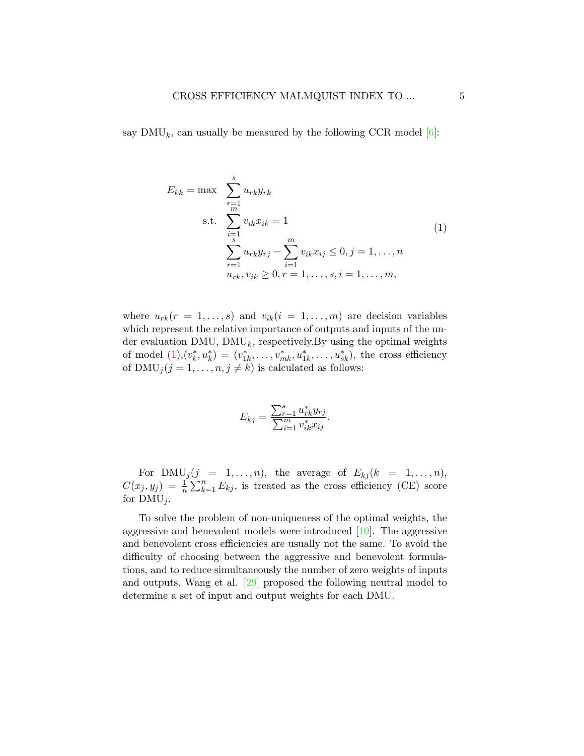say  $\text{DMU}_k$ , can usually be measured by the following CCR model [\[6\]](#page-24-0):

<span id="page-4-0"></span>
$$
E_{kk} = \max \sum_{\substack{r=1 \ s \ p=1}}^{s} u_{rk} y_{rk}
$$
  
s.t. 
$$
\sum_{\substack{i=1 \ s \ n=1}}^{r=1} v_{ik} x_{ik} = 1
$$

$$
\sum_{\substack{r=1 \ u_{rk}, v_{ik} \ge 0, r = 1, \ldots, s, i = 1, \ldots, m,}}^{m} (1)
$$

where  $u_{rk}(r = 1, \ldots, s)$  and  $v_{ik}(i = 1, \ldots, m)$  are decision variables which represent the relative importance of outputs and inputs of the under evaluation DMU,  $\text{DMU}_k$ , respectively. By using the optimal weights of model  $(1), (v_k^*, u_k^*) = (v_{1k}^*, \ldots, v_{mk}^*, u_{1k}^*, \ldots, u_{sk}^*)$  $(1), (v_k^*, u_k^*) = (v_{1k}^*, \ldots, v_{mk}^*, u_{1k}^*, \ldots, u_{sk}^*)$ , the cross efficiency of  $\text{DMU}_j (j = 1, \ldots, n, j \neq k)$  is calculated as follows:

$$
E_{kj} = \frac{\sum_{r=1}^{s} u_{rk}^{*} y_{rj}}{\sum_{i=1}^{m} v_{ik}^{*} x_{ij}}.
$$

For  $\text{DMU}_j(j = 1, \ldots, n)$ , the average of  $E_{kj}(k = 1, \ldots, n)$ ,  $C(x_j, y_j) = \frac{1}{n} \sum_{k=1}^n E_{kj}$ , is treated as the cross efficiency (CE) score for  $\text{DMU}_i$ .

To solve the problem of non-uniqueness of the optimal weights, the aggressive and benevolent models were introduced [\[10\]](#page-25-1). The aggressive and benevolent cross efficiencies are usually not the same. To avoid the difficulty of choosing between the aggressive and benevolent formulations, and to reduce simultaneously the number of zero weights of inputs and outputs, Wang et al. [\[29\]](#page-27-0) proposed the following neutral model to determine a set of input and output weights for each DMU.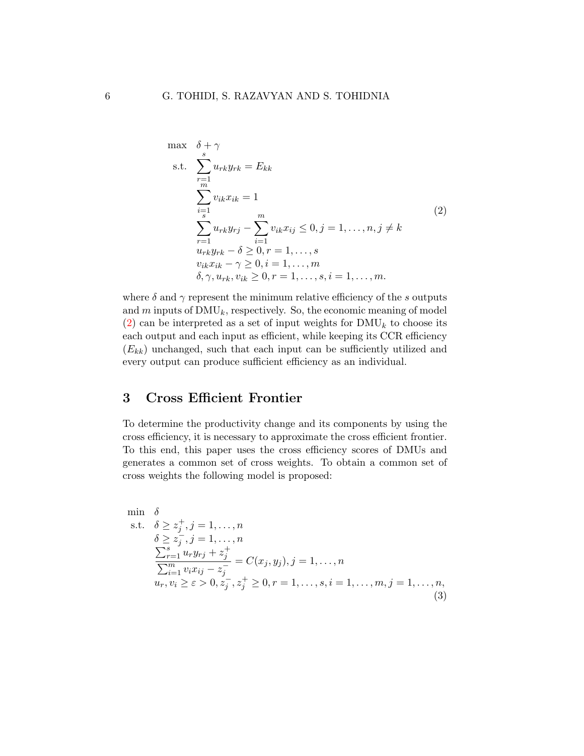<span id="page-5-0"></span>
$$
\max \quad \delta + \gamma
$$
\n
$$
\text{s.t.} \quad \sum_{r=1}^{s} u_{rk} y_{rk} = E_{kk}
$$
\n
$$
\sum_{i=1}^{m} v_{ik} x_{ik} = 1
$$
\n
$$
\sum_{r=1}^{s} u_{rk} y_{rj} - \sum_{i=1}^{m} v_{ik} x_{ij} \leq 0, j = 1, \dots, n, j \neq k
$$
\n
$$
u_{rk} y_{rk} - \delta \geq 0, r = 1, \dots, s
$$
\n
$$
v_{ik} x_{ik} - \gamma \geq 0, i = 1, \dots, m
$$
\n
$$
\delta, \gamma, u_{rk}, v_{ik} \geq 0, r = 1, \dots, s, i = 1, \dots, m.
$$
\n
$$
(2)
$$

where  $\delta$  and  $\gamma$  represent the minimum relative efficiency of the s outputs and  $m$  inputs of  $\text{DMU}_k$ , respectively. So, the economic meaning of model  $(2)$  can be interpreted as a set of input weights for  $\text{DMU}_k$  to choose its each output and each input as efficient, while keeping its CCR efficiency  $(E_{kk})$  unchanged, such that each input can be sufficiently utilized and every output can produce sufficient efficiency as an individual.

## 3 Cross Efficient Frontier

To determine the productivity change and its components by using the cross efficiency, it is necessary to approximate the cross efficient frontier. To this end, this paper uses the cross efficiency scores of DMUs and generates a common set of cross weights. To obtain a common set of cross weights the following model is proposed:

<span id="page-5-1"></span>min 
$$
\delta
$$
  
\ns.t.  $\delta \ge z_j^+, j = 1, ..., n$   
\n $\delta \ge z_j^-, j = 1, ..., n$   
\n
$$
\frac{\sum_{r=1}^s u_r y_{rj} + z_j^+}{\sum_{i=1}^m v_i x_{ij} - z_j^-} = C(x_j, y_j), j = 1, ..., n
$$
  
\n $u_r, v_i \ge \varepsilon > 0, z_j^-, z_j^+ \ge 0, r = 1, ..., s, i = 1, ..., m, j = 1, ..., n,$   
\n(3)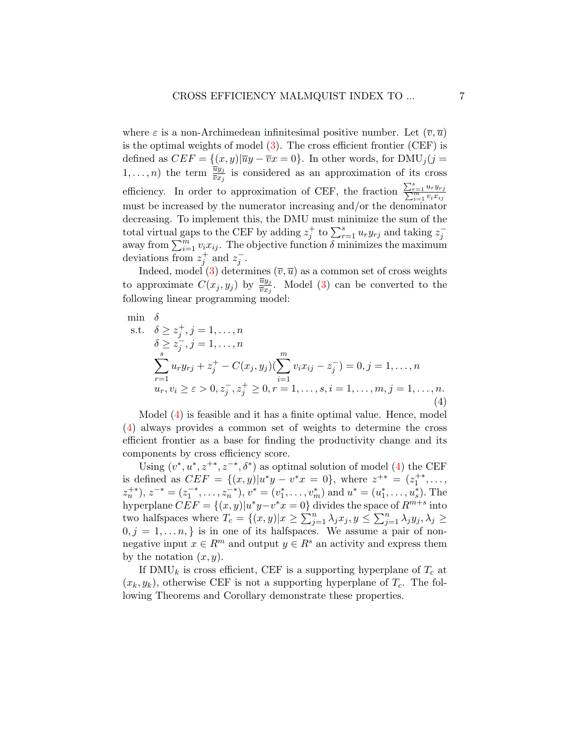where  $\varepsilon$  is a non-Archimedean infinitesimal positive number. Let  $(\overline{v}, \overline{u})$ is the optimal weights of model  $(3)$ . The cross efficient frontier  $(CEF)$  is defined as  $CEF = \{(x, y) | \overline{u}y - \overline{v}x = 0\}$ . In other words, for DMU<sub>i</sub>(j =  $(1,\ldots,n)$  the term  $\frac{\overline{u}y_j}{\overline{v}x_j}$  is considered as an approximation of its cross efficiency. In order to approximation of CEF, the fraction  $\frac{\sum_{r=1}^{s} u_r y_{rj}}{\sum_{i=1}^{m} v_i x_{ij}}$ must be increased by the numerator increasing and/or the denominator decreasing. To implement this, the DMU must minimize the sum of the total virtual gaps to the CEF by adding  $z_j^+$  to  $\sum_{r=1}^s u_r y_{rj}$  and taking  $z_j^$ away from  $\sum_{i=1}^{m} v_i x_{ij}$ . The objective function  $\delta$  minimizes the maximum deviations from  $z_j^+$  and  $z_j^-$ .

Indeed, model [\(3\)](#page-5-1) determines  $(\overline{v}, \overline{u})$  as a common set of cross weights to approximate  $C(x_j, y_j)$  by  $\frac{\overline{u}y_j}{\overline{v}x_j}$ . Model [\(3\)](#page-5-1) can be converted to the following linear programming model:

<span id="page-6-0"></span>
$$
\min \delta \n\text{s.t.} \quad \delta \ge z_j^+, j = 1, \dots, n \n\delta \ge z_j^-, j = 1, \dots, n \n\sum_{r=1}^s u_r y_{rj} + z_j^+ - C(x_j, y_j) (\sum_{i=1}^m v_i x_{ij} - z_j^-) = 0, j = 1, \dots, n \nu_r, v_i \ge \varepsilon > 0, z_j^-, z_j^+ \ge 0, r = 1, \dots, s, i = 1, \dots, m, j = 1, \dots, n.
$$
\n(4)

Model [\(4\)](#page-6-0) is feasible and it has a finite optimal value. Hence, model [\(4\)](#page-6-0) always provides a common set of weights to determine the cross efficient frontier as a base for finding the productivity change and its components by cross efficiency score.

Using  $(v^*, u^*, z^{+*}, z^{-*}, \delta^*)$  as optimal solution of model [\(4\)](#page-6-0) the CEF is defined as  $CEF = \{(x, y)|u^*y - v^*x = 0\}$ , where  $z^{+*} = (z_1^{+*}, \ldots, z_n^{+*})$  $(z_n^{+*}), z^{-*} = (z_1^{-*}, \ldots, z_n^{-*}), v^* = (v_1^*, \ldots, v_m^*)$  and  $u^* = (u_1^*, \ldots, u_s^*)$ . The hyperplane  $CEF = \{(x, y) | u^*y - v^*x = 0\}$  divides the space of  $R^{m+s}$  into two halfspaces where  $T_c = \{(x, y)|x \geq \sum_{j=1}^n \lambda_j x_j, y \leq \sum_{j=1}^n \lambda_j y_j, \lambda_j \geq$  $0, j = 1, \ldots n$ , is in one of its halfspaces. We assume a pair of nonnegative input  $x \in \mathbb{R}^m$  and output  $y \in \mathbb{R}^s$  an activity and express them by the notation  $(x, y)$ .

If DMU<sub>k</sub> is cross efficient, CEF is a supporting hyperplane of  $T_c$  at  $(x_k, y_k)$ , otherwise CEF is not a supporting hyperplane of  $T_c$ . The following Theorems and Corollary demonstrate these properties.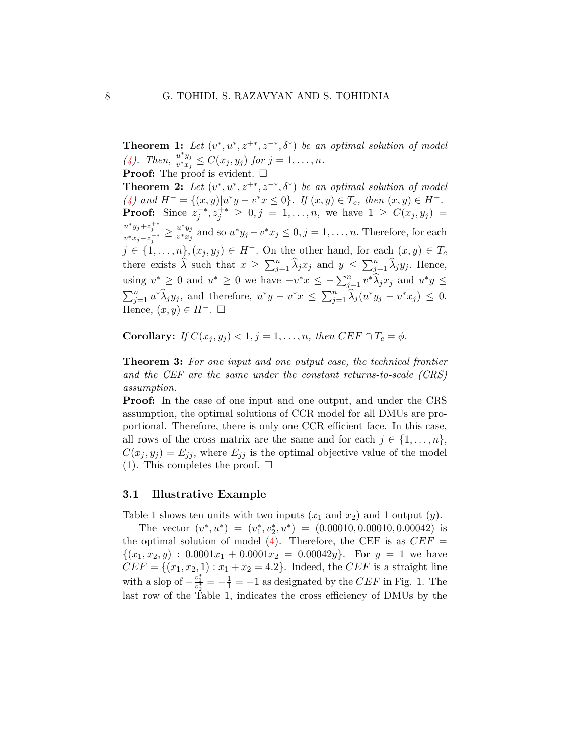**Theorem 1:** Let  $(v^*, u^*, z^{+*}, z^{-*}, \delta^*)$  be an optimal solution of model [\(4\)](#page-6-0). Then,  $\frac{u^*y_j}{v^*x_j}$  $\frac{u\ y_j}{v^*x_j}\leq C(x_j,y_j)$  for  $j=1,\ldots,n$ . **Proof:** The proof is evident.  $\Box$ **Theorem 2:** Let  $(v^*, u^*, z^{+*}, z^{-*}, \delta^*)$  be an optimal solution of model [\(4\)](#page-6-0) and  $H^- = \{(x, y) | u^*y - v^*x \le 0 \}$ . If  $(x, y) \in T_c$ , then  $(x, y) \in H^-$ . **Proof:** Since  $z_j^{-*}, z_j^{+*} \geq 0, j = 1, ..., n$ , we have  $1 \geq C(x_j, y_j) =$  $u^*y_j + z_j^{+*}$  $\frac{u^*y_j+z_j^{+*}}{v^*x_j-z_j^{-*}} \geq \frac{u^*y_j}{v^*x_j}$  $\frac{u^* y_j}{v^* x_j}$  and so  $u^* y_j - v^* x_j \leq 0, j = 1, \ldots, n$ . Therefore, for each  $j \in \{1, \ldots, n\}, (x_j, y_j) \in H^-$ . On the other hand, for each  $(x, y) \in T_c$ there exists  $\widehat{\lambda}$  such that  $x \geq \sum_{j=1}^n \widehat{\lambda}_j x_j$  and  $y \leq \sum_{j=1}^n \widehat{\lambda}_j y_j$ . Hence, using  $v^* \geq 0$  and  $u^* \geq 0$  we have  $-v^*x \leq -\sum_{j=1}^n v^* \widehat{\lambda}_j x_j$  and  $u^*y \leq$  $\sum_{j=1}^n u^* \widehat{\lambda}_j y_j$ , and therefore,  $u^*y - v^*x \leq \sum_{j=1}^n \widehat{\lambda}_j (u^*y_j - v^*x_j) \leq 0$ . Hence,  $(x, y) \in H^-$ .  $\Box$ 

Corollary: If  $C(x_i, y_i) < 1, j = 1, \ldots, n$ , then  $CEF \cap T_c = \phi$ .

**Theorem 3:** For one input and one output case, the technical frontier and the CEF are the same under the constant returns-to-scale (CRS) assumption.

Proof: In the case of one input and one output, and under the CRS assumption, the optimal solutions of CCR model for all DMUs are proportional. Therefore, there is only one CCR efficient face. In this case, all rows of the cross matrix are the same and for each  $j \in \{1, \ldots, n\}$ ,  $C(x_j, y_j) = E_{jj}$ , where  $E_{jj}$  is the optimal objective value of the model  $(1)$ . This completes the proof.  $\square$ 

#### 3.1 Illustrative Example

Table 1 shows ten units with two inputs  $(x_1 \text{ and } x_2)$  and 1 output  $(y)$ .

The vector  $(v^*, u^*) = (v_1^*, v_2^*, u^*) = (0.00010, 0.00010, 0.00042)$  is the optimal solution of model [\(4\)](#page-6-0). Therefore, the CEF is as  $CEF =$  $\{(x_1, x_2, y) : 0.0001x_1 + 0.0001x_2 = 0.00042y\}$ . For  $y = 1$  we have  $CEF = \{(x_1, x_2, 1) : x_1 + x_2 = 4.2\}$ . Indeed, the *CEF* is a straight line with a slop of  $-\frac{v_1^*}{v_2^*} = -\frac{1}{1} = -1$  as designated by the CEF in Fig. 1. The last row of the Table 1, indicates the cross efficiency of DMUs by the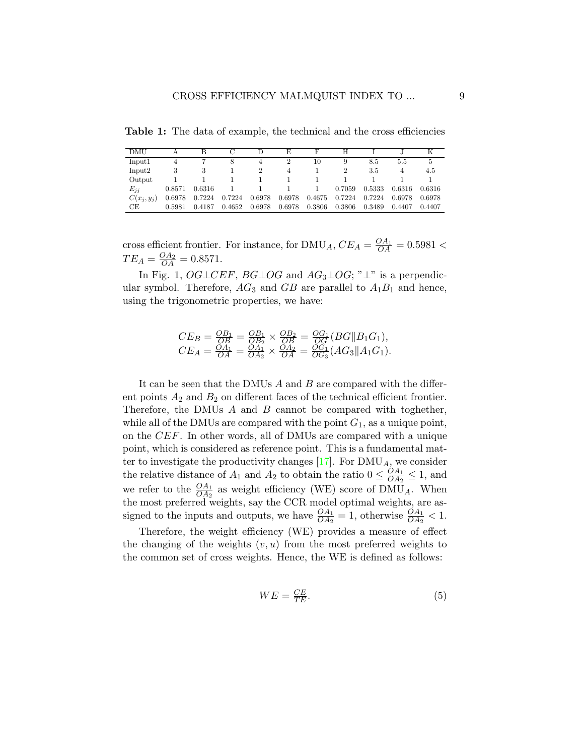Table 1: The data of example, the technical and the cross efficiencies

| DMU          |        | В      | С      | Ð      | E      | F      | Н      |        |        | K      |
|--------------|--------|--------|--------|--------|--------|--------|--------|--------|--------|--------|
| Input1       | 4      |        | 8      | 4      | 2      | 10     | 9      | 8.5    | 5.5    | 5      |
| Input2       | 3      | 3      |        |        | 4      |        |        | 3.5    |        | 4.5    |
| Output       |        |        |        |        |        |        |        |        |        |        |
| $E_{ij}$     | 0.8571 | 0.6316 |        |        |        |        | 0.7059 | 0.5333 | 0.6316 | 0.6316 |
| $C(x_i,y_i)$ | 0.6978 | 0.7224 | 0.7224 | 0.6978 | 0.6978 | 0.4675 | 0.7224 | 0.7224 | 0.6978 | 0.6978 |
| СE           | 0.5981 | 0.4187 | 0.4652 | 0.6978 | 0.6978 | 0.3806 | 0.3806 | 0.3489 | 0.4407 | 0.4407 |

cross efficient frontier. For instance, for  $\text{DMU}_A$ ,  $CE_A = \frac{OA_1}{OA} = 0.5981$  <  $TE_A = \frac{OA_2}{OA} = 0.8571.$ 

In Fig. 1,  $OGLCEF$ ,  $BG\bot OG$  and  $AG_3\bot OG$ ; " $\bot$ " is a perpendicular symbol. Therefore,  $AG_3$  and  $GB$  are parallel to  $A_1B_1$  and hence, using the trigonometric properties, we have:

$$
CE_B = \frac{OB_1}{OB} = \frac{OB_1}{OB_2} \times \frac{OB_2}{OB} = \frac{OG_1}{OG}(BG||B_1G_1),
$$
  
\n
$$
CE_A = \frac{OA_1}{OA} = \frac{OA_1}{OA_2} \times \frac{OA_2}{OA} = \frac{OG_1}{OG_3}(AG_3||A_1G_1).
$$

It can be seen that the DMUs  $\ddot{A}$  and  $\ddot{B}$  are compared with the different points  $A_2$  and  $B_2$  on different faces of the technical efficient frontier. Therefore, the DMUs A and B cannot be compared with toghether, while all of the DMUs are compared with the point  $G_1$ , as a unique point, on the CEF. In other words, all of DMUs are compared with a unique point, which is considered as reference point. This is a fundamental matter to investigate the productivity changes  $[17]$ . For  $\text{DMU}_A$ , we consider the relative distance of  $A_1$  and  $A_2$  to obtain the ratio  $0 \leq \frac{OA_1}{OA_2}$  $\frac{OA_1}{OA_2} \leq 1$ , and we refer to the  $\frac{OA_1}{OA_2}$  as weight efficiency (WE) score of DMU<sub>A</sub>. When the most preferred weights, say the CCR model optimal weights, are assigned to the inputs and outputs, we have  $\frac{OA_1}{OA_2} = 1$ , otherwise  $\frac{OA_1}{OA_2} < 1$ .

Therefore, the weight efficiency (WE) provides a measure of effect the changing of the weights  $(v, u)$  from the most preferred weights to the common set of cross weights. Hence, the WE is defined as follows:

<span id="page-8-0"></span>
$$
WE = \frac{CE}{TE}.\tag{5}
$$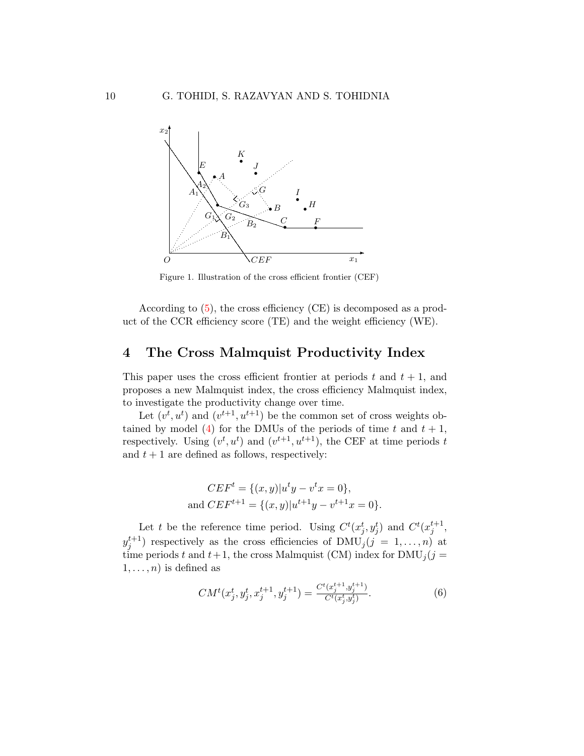

Figure 1. Illustration of the cross efficient frontier (CEF)

According to [\(5\)](#page-8-0), the cross efficiency (CE) is decomposed as a product of the CCR efficiency score (TE) and the weight efficiency (WE).

## 4 The Cross Malmquist Productivity Index

This paper uses the cross efficient frontier at periods t and  $t + 1$ , and proposes a new Malmquist index, the cross efficiency Malmquist index, to investigate the productivity change over time.

Let  $(v^t, u^t)$  and  $(v^{t+1}, u^{t+1})$  be the common set of cross weights ob-tained by model [\(4\)](#page-6-0) for the DMUs of the periods of time t and  $t + 1$ , respectively. Using  $(v^t, u^t)$  and  $(v^{t+1}, u^{t+1})$ , the CEF at time periods t and  $t + 1$  are defined as follows, respectively:

$$
CEF^{t} = \{(x, y)|u^{t}y - v^{t}x = 0\},\
$$
  
and 
$$
CEF^{t+1} = \{(x, y)|u^{t+1}y - v^{t+1}x = 0\}.
$$

Let t be the reference time period. Using  $C^t(x_j^t, y_j^t)$  and  $C^t(x_j^{t+1}, y_j^t)$  $y_j^{t+1}$ ) respectively as the cross efficiencies of  $\text{DMU}_j (j = 1, \ldots, n)$  at time periods t and  $t+1$ , the cross Malmquist (CM) index for  $\text{DMU}_j (j =$  $1, \ldots, n$ ) is defined as

<span id="page-9-0"></span>
$$
CM^{t}(x_{j}^{t}, y_{j}^{t}, x_{j}^{t+1}, y_{j}^{t+1}) = \frac{C^{t}(x_{j}^{t+1}, y_{j}^{t+1})}{C^{t}(x_{j}^{t}, y_{j}^{t})}.
$$
\n
$$
(6)
$$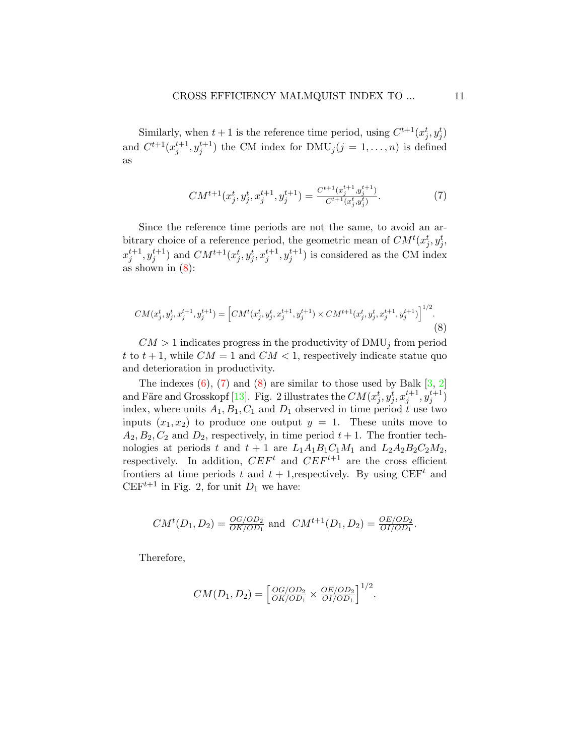Similarly, when  $t+1$  is the reference time period, using  $C^{t+1}(x_j^t, y_j^t)$ and  $C^{t+1}(x_j^{t+1}, y_j^{t+1})$  the CM index for  $\text{DMU}_j (j = 1, \ldots, n)$  is defined as

<span id="page-10-1"></span>
$$
CM^{t+1}(x_j^t, y_j^t, x_j^{t+1}, y_j^{t+1}) = \frac{C^{t+1}(x_j^{t+1}, y_j^{t+1})}{C^{t+1}(x_j^t, y_j^t)}.
$$
\n
$$
(7)
$$

Since the reference time periods are not the same, to avoid an arbitrary choice of a reference period, the geometric mean of  $CM^{t}(x_j^t, y_j^t)$ ,  $(x_j^{t+1}, y_j^{t+1})$  and  $CM^{t+1}(x_j^t, y_j^t, x_j^{t+1}, y_j^{t+1})$  is considered as the CM index as shown in  $(8)$ :

<span id="page-10-0"></span>
$$
CM(x_j^t, y_j^t, x_j^{t+1}, y_j^{t+1}) = \left[ CM^t(x_j^t, y_j^t, x_j^{t+1}, y_j^{t+1}) \times CM^{t+1}(x_j^t, y_j^t, x_j^{t+1}, y_j^{t+1}) \right]^{1/2}.
$$
\n(8)

 $CM > 1$  indicates progress in the productivity of DMU<sub>j</sub> from period t to  $t + 1$ , while  $CM = 1$  and  $CM < 1$ , respectively indicate statue quo and deterioration in productivity.

The indexes  $(6)$ ,  $(7)$  and  $(8)$  are similar to those used by Balk  $[3, 2]$  $[3, 2]$  $[3, 2]$ and Färe and Grosskopf [\[13\]](#page-25-4). Fig. 2 illustrates the  $CM(x_j^t, y_j^t, x_j^{t+1}, y_j^{t+1})$ index, where units  $A_1, B_1, C_1$  and  $D_1$  observed in time period t use two inputs  $(x_1, x_2)$  to produce one output  $y = 1$ . These units move to  $A_2, B_2, C_2$  and  $D_2$ , respectively, in time period  $t + 1$ . The frontier technologies at periods t and  $t + 1$  are  $L_1A_1B_1C_1M_1$  and  $L_2A_2B_2C_2M_2$ , respectively. In addition,  $CEF^{t}$  and  $CEF^{t+1}$  are the cross efficient frontiers at time periods t and  $t + 1$ , respectively. By using CEF<sup>t</sup> and CEF<sup>t+1</sup> in Fig. 2, for unit  $D_1$  we have:

$$
CM^{t}(D_1, D_2) = \frac{OG/OD_2}{OK/OD_1}
$$
 and  $CM^{t+1}(D_1, D_2) = \frac{OE/OD_2}{OI/OD_1}$ .

Therefore,

$$
CM(D_1, D_2) = \left[\frac{OG/OD_2}{OK/OD_1} \times \frac{OE/OD_2}{OI/OD_1}\right]^{1/2}.
$$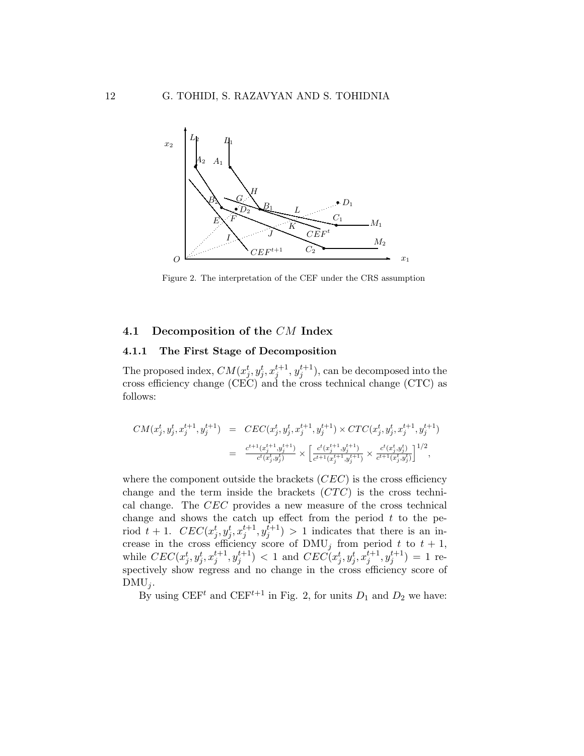

Figure 2. The interpretation of the CEF under the CRS assumption

### 4.1 Decomposition of the CM Index

#### 4.1.1 The First Stage of Decomposition

The proposed index,  $CM(x_j^t, y_j^t, x_j^{t+1}, y_j^{t+1})$ , can be decomposed into the cross efficiency change (CEC) and the cross technical change (CTC) as follows:

$$
\begin{array}{lcl} CM(x_j^t,y_j^t,x_j^{t+1},y_j^{t+1}) & = & CEC(x_j^t,y_j^t,x_j^{t+1},y_j^{t+1}) \times CTC(x_j^t,y_j^t,x_j^{t+1},y_j^{t+1}) \\ \\ & = & \frac{c^{t+1}(x_j^{t+1},y_j^{t+1})}{c^t(x_j^t,y_j^t)} \times \Big[\frac{c^t(x_j^{t+1},y_j^{t+1})}{c^{t+1}(x_j^{t+1},y_j^{t+1})} \times \frac{c^t(x_j^t,y_j^t)}{c^{t+1}(x_j^t,y_j^t)}\Big]^{1/2}, \end{array}
$$

where the component outside the brackets  $(CEC)$  is the cross efficiency change and the term inside the brackets  $(TTC)$  is the cross technical change. The CEC provides a new measure of the cross technical change and shows the catch up effect from the period  $t$  to the period  $t + 1$ .  $CEC(x_j^t, y_j^t, x_j^{t+1}, y_j^{t+1}) > 1$  indicates that there is an increase in the cross efficiency score of  $\text{DMU}_j$  from period t to  $t + 1$ , while  $CEC(x_j^t, y_j^t, x_j^{t+1}, y_j^{t+1}) < 1$  and  $CEC(x_j^t, y_j^t, x_j^{t+1}, y_j^{t+1}) = 1$  respectively show regress and no change in the cross efficiency score of  $DMU_i$ .

By using  $CEF<sup>t</sup>$  and  $CEF<sup>t+1</sup>$  in Fig. 2, for units  $D_1$  and  $D_2$  we have: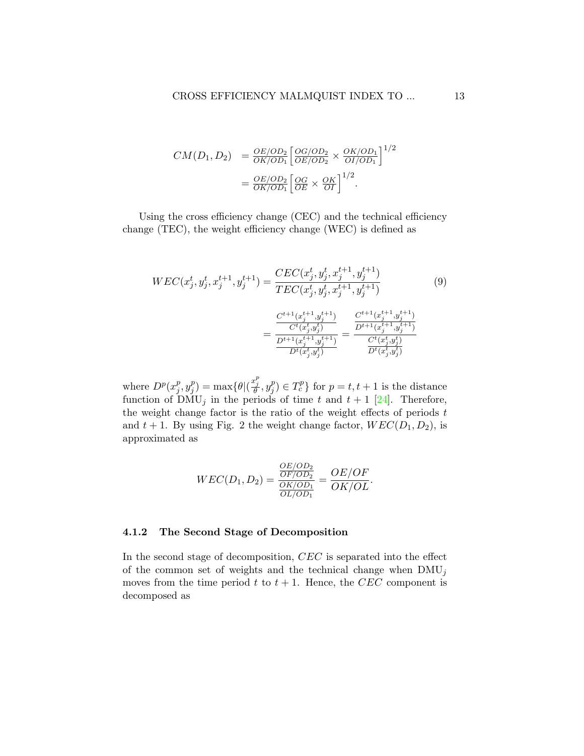$$
CM(D_1, D_2) = \frac{OE/OD_2}{OK/OD_1} \left[ \frac{OG/OD_2}{OE/OD_2} \times \frac{OK/OD_1}{OI/OD_1} \right]^{1/2}
$$

$$
= \frac{OE/OD_2}{OK/OD_1} \left[ \frac{OG}{OE} \times \frac{OK}{OI} \right]^{1/2}.
$$

Using the cross efficiency change (CEC) and the technical efficiency change (TEC), the weight efficiency change (WEC) is defined as

<span id="page-12-0"></span>
$$
WEC(x_j^t, y_j^t, x_j^{t+1}, y_j^{t+1}) = \frac{CEC(x_j^t, y_j^t, x_j^{t+1}, y_j^{t+1})}{TEC(x_j^t, y_j^t, x_j^{t+1}, y_j^{t+1})}
$$
(9)  

$$
= \frac{\frac{C^{t+1}(x_j^{t+1}, y_j^{t+1})}{C^t(x_j^t, y_j^t)}}{\frac{D^{t+1}(x_j^{t+1}, y_j^{t+1})}{D^t(x_j^t, y_j^t)}} = \frac{\frac{C^{t+1}(x_j^{t+1}, y_j^{t+1})}{D^{t+1}(x_j^{t+1}, y_j^{t+1})}}{\frac{C^t(x_j^t, y_j^t)}{D^t(x_j^t, y_j^t)}}
$$

where  $D^p(x_i^p)$  $_j^p, y_j^p$  $j^p) = \max{\lbrace \theta | (\frac{x_j^p}{\theta}, y_j^p) \rbrace}$  $\{f_j^p\} \in T_c^p$  for  $p = t, t + 1$  is the distance function of  $\text{DMU}_j$  in the periods of time t and  $t + 1$  [\[24\]](#page-26-9). Therefore, the weight change factor is the ratio of the weight effects of periods  $t$ and  $t + 1$ . By using Fig. 2 the weight change factor,  $WEC(D_1, D_2)$ , is approximated as

$$
WEC(D_1, D_2) = \frac{\frac{OE/OD_2}{OF/OD_2}}{\frac{OK/OD_1}{OL/OD_1}} = \frac{OE/OF}{OK/OL}.
$$

#### 4.1.2 The Second Stage of Decomposition

In the second stage of decomposition, CEC is separated into the effect of the common set of weights and the technical change when  $\text{DMU}_j$ moves from the time period t to  $t + 1$ . Hence, the CEC component is decomposed as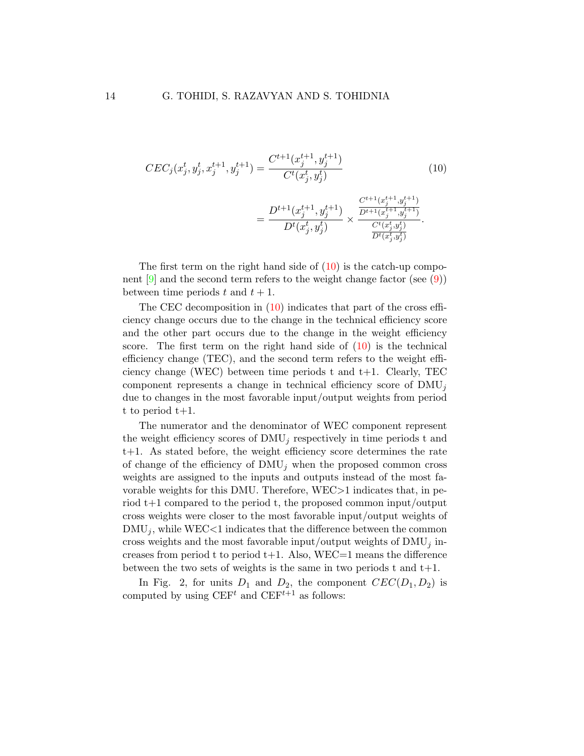<span id="page-13-0"></span>
$$
CEC_{j}(x_{j}^{t}, y_{j}^{t}, x_{j}^{t+1}, y_{j}^{t+1}) = \frac{C^{t+1}(x_{j}^{t+1}, y_{j}^{t+1})}{C^{t}(x_{j}^{t}, y_{j}^{t})}
$$
(10)  

$$
= \frac{D^{t+1}(x_{j}^{t+1}, y_{j}^{t+1})}{D^{t}(x_{j}^{t}, y_{j}^{t})} \times \frac{\frac{C^{t+1}(x_{j}^{t+1}, y_{j}^{t+1})}{D^{t+1}(x_{j}^{t+1}, y_{j}^{t+1})}}{\frac{C^{t}(x_{j}^{t}, y_{j}^{t})}{D^{t}(x_{j}^{t}, y_{j}^{t})}}.
$$

The first term on the right hand side of  $(10)$  is the catch-up component  $[9]$  and the second term refers to the weight change factor (see  $(9)$ ) between time periods t and  $t + 1$ .

The CEC decomposition in  $(10)$  indicates that part of the cross efficiency change occurs due to the change in the technical efficiency score and the other part occurs due to the change in the weight efficiency score. The first term on the right hand side of  $(10)$  is the technical efficiency change (TEC), and the second term refers to the weight efficiency change (WEC) between time periods t and t+1. Clearly, TEC component represents a change in technical efficiency score of  $\text{DMU}_i$ due to changes in the most favorable input/output weights from period t to period t+1.

The numerator and the denominator of WEC component represent the weight efficiency scores of  $\text{DMU}_j$  respectively in time periods t and t+1. As stated before, the weight efficiency score determines the rate of change of the efficiency of  $\text{DMU}_i$  when the proposed common cross weights are assigned to the inputs and outputs instead of the most favorable weights for this DMU. Therefore, WEC>1 indicates that, in period t+1 compared to the period t, the proposed common input/output cross weights were closer to the most favorable input/output weights of  $\text{DMU}_j$ , while WEC<1 indicates that the difference between the common cross weights and the most favorable input/output weights of  $\text{DMU}_j$  increases from period t to period  $t+1$ . Also, WEC=1 means the difference between the two sets of weights is the same in two periods t and  $t+1$ .

In Fig. 2, for units  $D_1$  and  $D_2$ , the component  $CEC(D_1, D_2)$  is computed by using  $\mathrm{CEF}^{t}$  and  $\mathrm{CEF}^{t+1}$  as follows: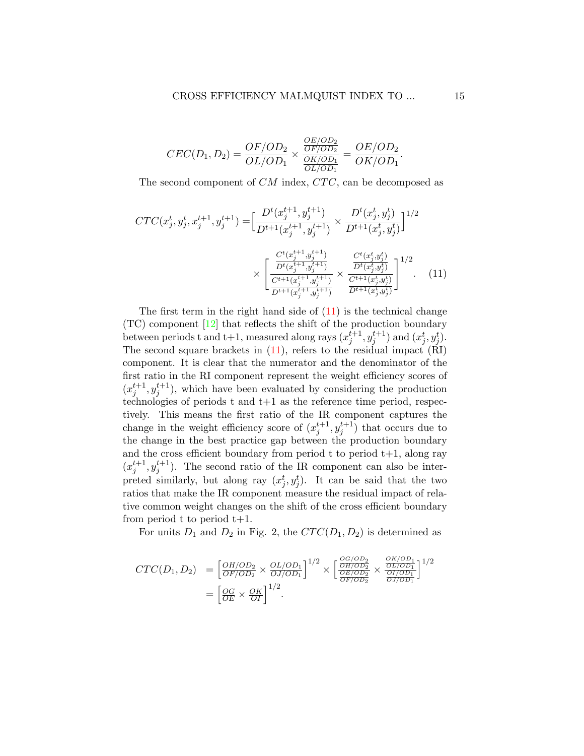<span id="page-14-0"></span>
$$
CEC(D_1, D_2) = \frac{OF/OD_2}{OL/OD_1} \times \frac{\frac{OE/OD_2}{OF/OD_2}}{\frac{OK/OD_1}{OL/OD_1}} = \frac{OE/OD_2}{OK/OD_1}.
$$

The second component of  $CM$  index,  $CTC$ , can be decomposed as

$$
CTC(x_j^t, y_j^t, x_j^{t+1}, y_j^{t+1}) = \left[\frac{D^t(x_j^{t+1}, y_j^{t+1})}{D^{t+1}(x_j^{t+1}, y_j^{t+1})} \times \frac{D^t(x_j^t, y_j^t)}{D^{t+1}(x_j^t, y_j^t)}\right]^{1/2}
$$

$$
\times \left[\frac{\frac{C^t(x_j^{t+1}, y_j^{t+1})}{D^t(x_j^{t+1}, y_j^{t+1})}}{\frac{C^t(x_j^{t+1}, y_j^{t+1})}{D^{t+1}(x_j^{t+1}, y_j^{t+1})}} \times \frac{\frac{C^t(x_j^t, y_j^t)}{D^t(x_j^t, y_j^t)}}{\frac{C^t(x_j^t, y_j^t)}{D^{t+1}(x_j^t, y_j^t)}}\right]^{1/2}.
$$
 (11)

The first term in the right hand side of  $(11)$  is the technical change (TC) component [\[12\]](#page-25-8) that reflects the shift of the production boundary between periods t and t+1, measured along rays  $(x_j^{t+1}, y_j^{t+1})$  and  $(x_j^t, y_j^t)$ . The second square brackets in  $(11)$ , refers to the residual impact  $(RI)$ component. It is clear that the numerator and the denominator of the first ratio in the RI component represent the weight efficiency scores of  $(x_j^{t+1}, y_j^{t+1})$ , which have been evaluated by considering the production technologies of periods  $t$  and  $t+1$  as the reference time period, respectively. This means the first ratio of the IR component captures the change in the weight efficiency score of  $(x_j^{t+1}, y_j^{t+1})$  that occurs due to the change in the best practice gap between the production boundary and the cross efficient boundary from period t to period  $t+1$ , along ray  $(x_j^{t+1}, y_j^{t+1})$ . The second ratio of the IR component can also be interpreted similarly, but along ray  $(x_j^t, y_j^t)$ . It can be said that the two ratios that make the IR component measure the residual impact of relative common weight changes on the shift of the cross efficient boundary from period t to period  $t+1$ .

For units  $D_1$  and  $D_2$  in Fig. 2, the  $CTC(D_1, D_2)$  is determined as

$$
CTC(D_1, D_2) = \left[\frac{OH/OD_2}{OF/OD_2} \times \frac{OL/OD_1}{OJ/OD_1}\right]^{1/2} \times \left[\frac{\frac{OG/OD_2}{OH/OD_2}}{\frac{OH/OD_2}{OF/OD_2}} \times \frac{\frac{OK/OD_1}{OL/OD_1}}{\frac{OI/OD_1}{OI/OD_1}}\right]^{1/2}
$$

$$
= \left[\frac{OG}{OE} \times \frac{OK}{OI}\right]^{1/2}.
$$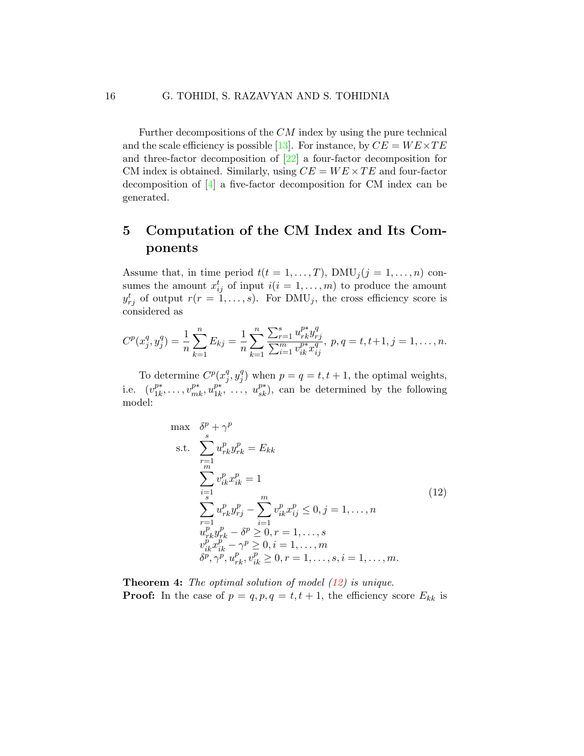Further decompositions of the CM index by using the pure technical and the scale efficiency is possible [\[13\]](#page-25-4). For instance, by  $CE = WE \times TE$ and three-factor decomposition of [\[22\]](#page-26-10) a four-factor decomposition for CM index is obtained. Similarly, using  $CE = WE \times TE$  and four-factor decomposition of [\[4\]](#page-24-6) a five-factor decomposition for CM index can be generated.

# 5 Computation of the CM Index and Its Components

Assume that, in time period  $t(t = 1, ..., T)$ ,  $DMU_j(j = 1, ..., n)$  consumes the amount  $x_{ij}^t$  of input  $i(i = 1, \ldots, m)$  to produce the amount  $y_{rj}^t$  of output  $r(r = 1, \ldots, s)$ . For  $\text{DMU}_j$ , the cross efficiency score is considered as

$$
C^{p}(x_j^q, y_j^q) = \frac{1}{n} \sum_{k=1}^n E_{kj} = \frac{1}{n} \sum_{k=1}^n \frac{\sum_{r=1}^s u_{rk}^{p*} y_{rj}^q}{\sum_{i=1}^m v_{ik}^{p*} x_{ij}^q}, \ p, q = t, t+1, j = 1, \dots, n.
$$

To determine  $C^p(x_i^q)$  $\frac{q}{j}, y_j^q$  $j^{q}$ ) when  $p = q = t, t + 1$ , the optimal weights, i.e.  $(v_{1k}^{p*})$  $v_{1k}^{p*}, \ldots, v_{mk}^{p*}, u_{1k}^{p*}$  $\sum_{1k}^{p*}, \ldots, u_{sk}^{p*}$ , can be determined by the following model:

<span id="page-15-0"></span>
$$
\max \quad \delta^{p} + \gamma^{p}
$$
\n
$$
\text{s.t.} \quad \sum_{r=1}^{s} u_{rk}^{p} y_{rk}^{p} = E_{kk}
$$
\n
$$
\sum_{i=1}^{m} v_{ik}^{p} x_{ik}^{p} = 1
$$
\n
$$
\sum_{r=1}^{s} u_{rk}^{p} y_{rj}^{p} - \sum_{i=1}^{m} v_{ik}^{p} x_{ij}^{p} \leq 0, j = 1, ..., n
$$
\n
$$
u_{rk}^{p} y_{rk}^{p} - \delta^{p} \geq 0, r = 1, ..., s
$$
\n
$$
v_{ik}^{p} x_{ik}^{p} - \gamma^{p} \geq 0, i = 1, ..., m
$$
\n
$$
\delta^{p}, \gamma^{p}, u_{rk}^{p}, v_{ik}^{p} \geq 0, r = 1, ..., s, i = 1, ..., m.
$$
\n(12)

**Theorem 4:** The optimal solution of model  $(12)$  is unique. **Proof:** In the case of  $p = q, p, q = t, t + 1$ , the efficiency score  $E_{kk}$  is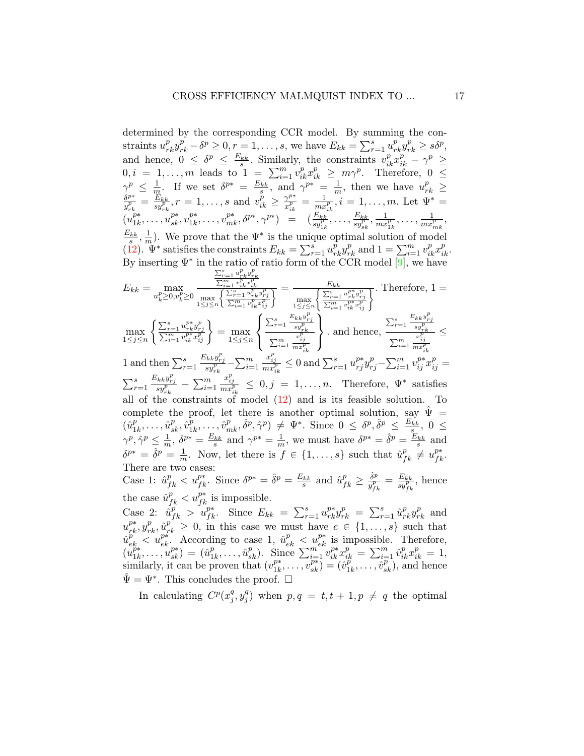determined by the corresponding CCR model. By summing the constraints  $u_{rk}^p y_{rk}^p - \delta^p \ge 0, r = 1, \ldots, s$ , we have  $E_{kk} = \sum_{r=1}^s u_{rk}^p y_{rk}^p \ge s\delta^p$ , and hence,  $0 \leq \delta^p \leq \frac{E_{kk}}{s}$ . Similarly, the constraints  $v_{ik}^p x_{ik}^p - \gamma^p \geq$  $0, i = 1, \ldots, m$  leads to  $1 = \sum_{i=1}^{m} v_{ik}^p x_{ik}^p \ge m\gamma^p$ . Therefore,  $0 \le$  $\gamma^p \leq \frac{1}{n}$  $\frac{1}{m}$ . If we set  $\delta^{p*} = \frac{E_{kk}}{s}$ , and  $\gamma^{p*} = \frac{1}{m}$  $\gamma^p \leq \frac{1}{m}$ . If we set  $\delta^{p*} = \frac{E_{kk}}{s}$ , and  $\gamma^{p*} = \frac{1}{m}$ , then we have  $u_{rk}^p \geq \delta^{p*} = E_{kk}$ ,  $r = 1$ , cand  $v^p > \gamma^{p*} = -1$ , i.e. 1. m. Let  $W^* =$  $\frac{\delta^{p*}}{y^p_{rk}}=\frac{E_{kk}}{sy^p_{rk}}$  $\frac{\partial E_{kk}}{\partial y_{rk}^p}, r = 1, \ldots, s \text{ and } v_{ik}^p \geq \frac{\gamma^{p*}}{x_{ik}^p}$  $\frac{\gamma^{p*}}{x_{ik}^p} = \frac{1}{mx}$  $\frac{1}{m x_{ik}^p}, i = 1, \ldots, m$ . Let  $\Psi^* =$  $(u_{1k}^{p*})$  $u_{1k}^{p*}, \ldots, u_{sk}^{p*}, v_{1k}^{p*}$  $\frac{p_{*}}{1k},\ldots,v^{p_{*}}_{mk},\delta^{p_{*}},\gamma^{p_{*}}\big) \quad = \quad (\frac{E_{kk}}{sy^{p}_{1k}},\ldots,\frac{E_{kk}}{sy^{p}_{sk}})$  $\frac{E_{kk}}{sy_{sk}^p}, \frac{1}{mx}$  $\frac{1}{m x_{1k}^p}, \ldots, \frac{1}{m x_{nk}^p}$  $\frac{1}{mx_{mk}^p},$  $\frac{E_{kk}}{s}, \frac{1}{m}$  $\frac{1}{m}$ ). We prove that the  $\Psi^*$  is the unique optimal solution of model [\(12\)](#page-15-0).  $\Psi^*$  satisfies the constraints  $E_{kk} = \sum_{r=1}^s u_{rk}^p y_{rk}^p$  and  $1 = \sum_{i=1}^m v_{ik}^p x_{ik}^p$ . By inserting  $\Psi^*$  in the ratio of ratio form of the CCR model [\[9\]](#page-25-7), we have  $E_{kk} = \max_{u_k^p \ge 0, v_k^p \ge 0}$  $\frac{\sum_{r=1}^s u_{rk}^p y_{rk}^p}{\sum_{i=1}^m v_{ik}^p x_{ik}^p}$ max 1≤j≤n  $\int \sum_{r=1}^{s} u_{rk}^p y_r^p$  $\frac{\sum_{r=1}^s v_{ik}^r x_{ik}^p}{\sum_{i=1}^m v_{ik}^p x_{ij}^p} = \frac{E_{kk}}{\max\limits_{1 \leq j \leq n}\left\{\frac{\sum_{r=1}^s}{\sum_{i=1}^m v_{ik}^p x_{ij}^p}\right\}}$ max 1≤j≤n  $\left\{\frac{\sum_{r=1}^{E_{kk}} u_{rk}^{p*} y_{rj}^{p}}{\sum_{i=1}^{m} v_{ik}^{p*} x_{ij}^{p}}\right\}$ . Therefore, 1 =  $\left(\sum_{r=1}^{s} \frac{E_{kk} y_{rj}^p}{p}\right)$   $\sum_{r=1}^{s} \frac{E_{kk} y_{rj}^p}{p}$ 

$$
\max_{1 \leq j \leq n} \left\{ \frac{\sum_{r=1}^{s} u_{rk}^{p*} y_{rj}^{p}}{\sum_{i=1}^{m} v_{ik}^{p*} x_{ij}^{p}} \right\} = \max_{1 \leq j \leq n} \left\{ \frac{\sum_{r=1}^{s} \frac{E_{kk} y_{rj}}{s y_{rk}^{p}}}{\sum_{i=1}^{m} \frac{x_{ij}^{p}}{m x_{ik}^{p}}} \right\}.
$$
 and hence,  $\frac{\sum_{r=1}^{s} \frac{E_{kk} y_{rj}}{s y_{rk}^{p}}}{\sum_{i=1}^{m} \frac{x_{ij}^{p}}{m x_{ik}^{p}}} \leq$ 

1 and then  $\sum_{r=1}^{s}$  $\frac{E_{kk}y_{rj}^p}{sy_{rk}^p} - \sum_{i=1}^m$  $\frac{x_{ij}^p}{mx_{ik}^p} \leq 0$  and  $\sum_{r=1}^s u_{rj}^{p*} y_{rj}^p - \sum_{i=1}^m v_{ij}^{p*} x_{ij}^p =$  $\sum_{r=1}^s$  $\frac{E_{kk}y_{rj}^p}{sy_{rk}^p} - \sum_{i=1}^m$  $\frac{x_{ij}^p}{mx_{ik}^p} \leq 0, j = 1, ..., n.$  Therefore,  $\Psi^*$  satisfies all of the constraints of model [\(12\)](#page-15-0) and is its feasible solution. To complete the proof, let there is another optimal solution, say  $\Psi =$  $(\hat{u}_1^p)$  $\hat{u}_1^p,\ldots,\hat{u}_{sk}^p,\hat{v}_1^p$  $\frac{p}{1k}, \ldots, \hat{v}_{mk}^p, \hat{\delta}^p, \hat{\gamma}^p) \neq \Psi^*$ . Since  $0 \leq \delta^p, \hat{\delta}^p \leq \frac{E_{kk}}{s}, 0 \leq \frac{E_{kk}}{s}$  $\gamma^p, \hat{\gamma}^p \leq \frac{1}{m}$  $\frac{1}{m}$ ,  $\delta^{p*} = \frac{E_{kk}}{s}$  and  $\gamma^{p*} = \frac{1}{m}$  $\frac{1}{m}$ , we must have  $\delta^{p*} = \hat{\delta}^p = \frac{E_{kk}}{s}$  and  $\delta^{p*} = \hat{\delta}^p = \frac{1}{n}$  $\frac{1}{m}$ . Now, let there is  $f \in \{1, \ldots, s\}$  such that  $\hat{u}_{fk}^p \neq u_{fk}^{p*}$ . There are two cases:

Case 1:  $\hat{u}_{fk}^p < u_{fk}^{p*}$ . Since  $\delta^{p*} = \hat{\delta}^p = \frac{E_{kk}}{s}$  and  $\hat{u}_{fk}^p \ge \frac{\hat{\delta}^p}{y_{rh}^p}$  $\frac{\delta^p}{y_{\scriptscriptstyle\,}^p} = \frac{E_{kk}}{sy_{\scriptscriptstyle\,}^p}$ the case  $\hat{u}_{fk}^p < u_{fk}^{p*}$  is impossible.  $\frac{E_{kk}}{sy_{fk}^p}$ , hence

Case 2:  $\hat{u}_{fk}^p > \hat{u}_{fk}^{p*}$ . Since  $E_{kk} = \sum_{r=1}^s u_{rk}^{p*} y_{rk}^p = \sum_{r=1}^s \hat{u}_{rk}^p y_{rk}^p$  and  $u_{rk}^{p*}, y_{rk}^{p}, \hat{u}_{rk}^{p'} \geq 0$ , in this case we must have  $e \in \{1, \ldots, s\}$  such that  $\hat{u}_{ek}^{p} < u_{ek}^{p*}$ . According to case 1,  $\hat{u}_{ek}^{p} < u_{ek}^{p*}$  is impossible. Therefore,  $\begin{pmatrix} u_{1k}^{p*} \\ u_{2k} \end{pmatrix}$  $\hat{u}_{1k}^{p*},\ldots,\hat{u}_{sk}^{p*}) = (\hat{u}_{1}^{p*})$  $\overline{\hat{u}}_{1k}^p, \ldots, \hat{u}_{sk}^p$ ). Since  $\sum_{i=1}^m v_{ik}^{p*} x_{ik}^p = \sum_{i=1}^m \hat{v}_{ik}^p x_{ik}^p = 1$ , similarly, it can be proven that  $(v_{1k}^{p*})$  $\overline{v}_{1k}^{p*},\ldots,\overline{v}_{sk}^{p*}) = (\hat{v}_{1}^{p*})$  $\overline{\hat{v}_{1k}^p}, \ldots, \overline{\hat{v}_{sk}^p}$ , and hence  $\hat{\Psi} = \Psi^*$ . This concludes the proof.  $\square$ 

In calculating  $C^p(x_i^q)$  $\frac{q}{j}, y_j^q$  $j^{q}$ ) when  $p, q = t, t + 1, p \neq q$  the optimal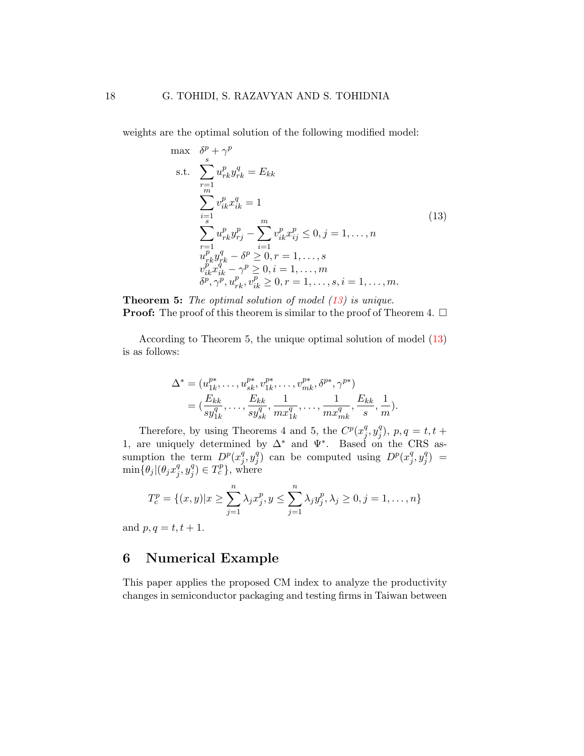weights are the optimal solution of the following modified model:

<span id="page-17-0"></span>
$$
\max \quad \delta^{p} + \gamma^{p}
$$
\n
$$
\text{s.t.} \quad \sum_{r=1}^{s} u_{rk}^{p} y_{rk}^{q} = E_{kk}
$$
\n
$$
\sum_{i=1}^{m} v_{ik}^{p} x_{ik}^{q} = 1
$$
\n
$$
\sum_{r=1}^{s} u_{rk}^{p} y_{rj}^{p} - \sum_{i=1}^{m} v_{ik}^{p} x_{ij}^{p} \leq 0, j = 1, ..., n
$$
\n
$$
u_{rk}^{p} y_{rk}^{q} - \delta^{p} \geq 0, r = 1, ..., s
$$
\n
$$
v_{ik}^{p} x_{ik}^{q} - \gamma^{p} \geq 0, i = 1, ..., m
$$
\n
$$
\delta^{p}, \gamma^{p}, u_{rk}^{p}, v_{ik}^{p} \geq 0, r = 1, ..., s, i = 1, ..., m.
$$
\n(13)

Theorem 5: The optimal solution of model  $(13)$  is unique. **Proof:** The proof of this theorem is similar to the proof of Theorem 4.  $\Box$ 

According to Theorem 5, the unique optimal solution of model [\(13\)](#page-17-0) is as follows:

$$
\Delta^* = (u_{1k}^{p*}, \dots, u_{sk}^{p*}, v_{1k}^{p*}, \dots, v_{mk}^{p*}, \delta^{p*}, \gamma^{p*})
$$
  
=  $(\frac{E_{kk}}{sy_{1k}^q}, \dots, \frac{E_{kk}}{sy_{sk}^q}, \frac{1}{mx_{1k}^q}, \dots, \frac{1}{mx_{mk}^q}, \frac{E_{kk}}{s}, \frac{1}{m}).$ 

Therefore, by using Theorems 4 and 5, the  $C^p(x_i^q)$  $\frac{q}{j}, y_j^q$  $j^{q}), p, q = t, t +$ 1, are uniquely determined by  $\Delta^*$  and  $\Psi^*$ . Based on the CRS assumption the term  $D^p(x_i^q)$  $_j^q, y_j^q$  $j \choose j$  can be computed using  $D^p(x_j^q)$  $_j^q, y_j^q$  $_{j}^{q})$  =  $\min\{\theta_j|(\theta_jx_j^q$  $\frac{q}{j}, y_j^q$  $j^q) \in T_c^p$ , where

$$
T_c^p = \{(x, y) | x \ge \sum_{j=1}^n \lambda_j x_j^p, y \le \sum_{j=1}^n \lambda_j y_j^p, \lambda_j \ge 0, j = 1, ..., n\}
$$

and  $p, q = t, t + 1$ .

## 6 Numerical Example

This paper applies the proposed CM index to analyze the productivity changes in semiconductor packaging and testing firms in Taiwan between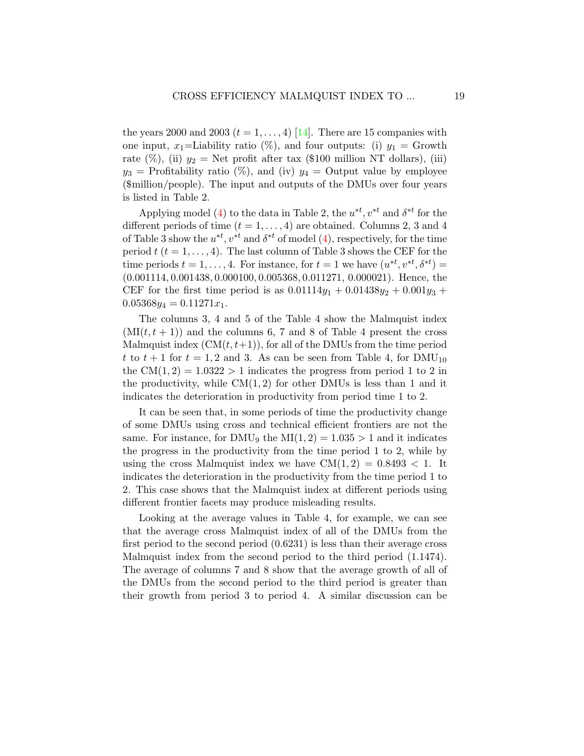the years 2000 and 2003  $(t = 1, \ldots, 4)$  [\[14\]](#page-25-9). There are 15 companies with one input, x<sub>1</sub>=Liability ratio (%), and four outputs: (i)  $y_1 =$  Growth rate (%), (ii)  $y_2 =$  Net profit after tax (\$100 million NT dollars), (iii)  $y_3$  = Profitability ratio (%), and (iv)  $y_4$  = Output value by employee (\$million/people). The input and outputs of the DMUs over four years is listed in Table 2.

Applying model [\(4\)](#page-6-0) to the data in Table 2, the  $u^{*t}$ ,  $v^{*t}$  and  $\delta^{*t}$  for the different periods of time  $(t = 1, \ldots, 4)$  are obtained. Columns 2, 3 and 4 of Table 3 show the  $u^{*t}$ ,  $v^{*t}$  and  $\delta^{*t}$  of model [\(4\)](#page-6-0), respectively, for the time period  $t$  ( $t = 1, ..., 4$ ). The last column of Table 3 shows the CEF for the time periods  $t = 1, ..., 4$ . For instance, for  $t = 1$  we have  $(u^{*t}, v^{*t}, \delta^{*t}) =$ (0.001114, 0.001438, 0.000100, 0.005368, 0.011271, 0.000021). Hence, the CEF for the first time period is as  $0.01114y_1 + 0.01438y_2 + 0.001y_3 +$  $0.05368y_4 = 0.11271x_1.$ 

The columns 3, 4 and 5 of the Table 4 show the Malmquist index  $(MI(t, t + 1))$  and the columns 6, 7 and 8 of Table 4 present the cross Malmquist index  $(CM(t, t+1))$ , for all of the DMUs from the time period t to  $t + 1$  for  $t = 1, 2$  and 3. As can be seen from Table 4, for DMU<sub>10</sub> the  $CM(1, 2) = 1.0322 > 1$  indicates the progress from period 1 to 2 in the productivity, while  $CM(1, 2)$  for other DMUs is less than 1 and it indicates the deterioration in productivity from period time 1 to 2.

It can be seen that, in some periods of time the productivity change of some DMUs using cross and technical efficient frontiers are not the same. For instance, for DMU<sub>9</sub> the MI $(1, 2) = 1.035 > 1$  and it indicates the progress in the productivity from the time period 1 to 2, while by using the cross Malmquist index we have  $CM(1, 2) = 0.8493 < 1$ . It indicates the deterioration in the productivity from the time period 1 to 2. This case shows that the Malmquist index at different periods using different frontier facets may produce misleading results.

Looking at the average values in Table 4, for example, we can see that the average cross Malmquist index of all of the DMUs from the first period to the second period (0.6231) is less than their average cross Malmquist index from the second period to the third period (1.1474). The average of columns 7 and 8 show that the average growth of all of the DMUs from the second period to the third period is greater than their growth from period 3 to period 4. A similar discussion can be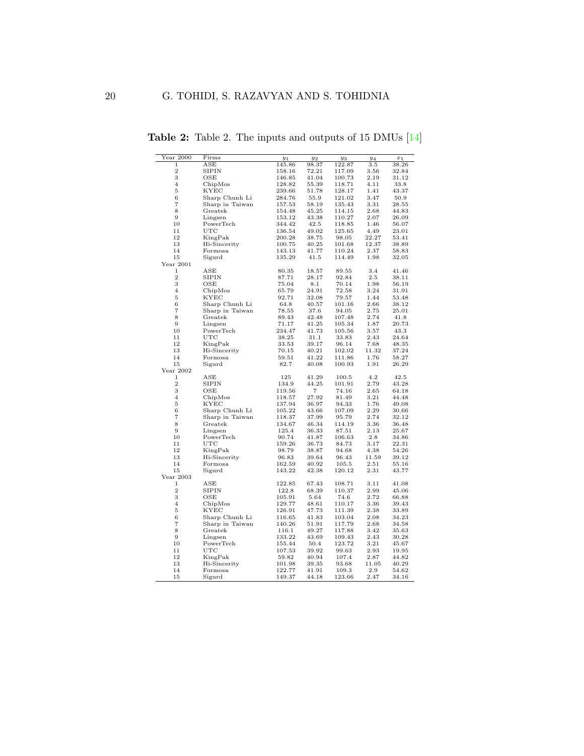| $Year\ 2000$      | Firms                   | $y_1$           | $y_2$             | $y_3$  | $y_4$ | $x_1$ |
|-------------------|-------------------------|-----------------|-------------------|--------|-------|-------|
| 1                 | $_{\rm ASE}$            | 145.86          | 98.37             | 122.87 | 3.5   | 38.26 |
| $\overline{2}$    | SIPIN                   | 158.16          | 72.21             | 117.09 | 3.56  | 32.84 |
| 3                 | OSE                     | 146.85          | 41.04             | 100.73 | 2.19  | 31.12 |
| $\overline{4}$    | ChipMos                 | 128.82          | 55.39             | 118.71 | 4.11  | 33.8  |
| 5                 | KYEC                    | 239.66          | 51.78             | 128.17 | 1.41  | 43.37 |
| 6                 | Sharp Chunh Li          | 284.76          | 55.9              | 121.02 | 3.47  | 50.9  |
| $\overline{7}$    | Sharp in Taiwan         | 157.53          | 58.19             | 135.43 | 3.31  | 28.55 |
| 8                 | Greatek                 | 154.48          | 45.25             | 114.15 | 2.68  | 44.83 |
| $\boldsymbol{9}$  | Lingsen                 | 153.12          | 43.38             | 110.27 | 2.07  | 26.09 |
| 10                | PowerTech               | 344.42          | 42.5              | 118.85 | 1.46  | 56.07 |
| 11                | UTC                     | 136.54          | 49.02             | 125.65 | 4.49  | 23.01 |
| 12                | KingPak                 | 200.28          | 38.75             | 98.05  | 22.27 | 53.41 |
| 13                | Hi-Sincerity            | 100.75          | 40.25             | 101.68 | 12.37 | 38.89 |
| 14                | Formosa                 | 143.13          | 41.77             | 110.24 | 2.37  | 58.83 |
| 15                | Sigurd                  | 135.29          | 41.5              | 114.49 | 1.98  | 32.05 |
| Year 2001         |                         |                 |                   |        |       |       |
| 1                 | ASE                     | 80.35           | 18.57             |        | 3.4   |       |
| $\overline{2}$    |                         |                 |                   | 89.55  |       | 41.46 |
|                   | SIPIN                   | 87.71           | 28.17             | 92.84  | 2.5   | 38.11 |
| 3                 | OSE                     | 75.04           | 8.1               | 70.14  | 1.98  | 56.19 |
| $\overline{4}$    | ChipMos                 | 65.79           | 24.91             | 72.58  | 3.24  | 31.91 |
| $\overline{5}$    | KYEC                    | 92.71           | 32.08             | 79.57  | 1.44  | 53.48 |
| 6                 | Sharp Chunh Li          | 64.8            | 40.57             | 101.16 | 2.66  | 38.12 |
| $\scriptstyle{7}$ | Sharp in Taiwan         | 78.55           | 37.6              | 94.05  | 2.75  | 25.01 |
| 8                 | Greatek                 | 89.43           | 42.48             | 107.48 | 2.74  | 41.8  |
| $\boldsymbol{9}$  | Lingsen                 | 71.17           | 41.25             | 105.34 | 1.87  | 20.73 |
| 10                | PowerTech               | 234.47          | 41.73             | 105.56 | 3.57  | 43.3  |
| 11                | UTC                     | 38.25           | 31.1              | 33.83  | 2.43  | 24.64 |
| 12                | KingPak                 | 33.53           | 39.17             | 96.14  | 7.68  | 48.35 |
| 13                | Hi-Sincerity            | 70.15           | 40.21             | 102.02 | 11.32 | 37.24 |
| 14                | Formosa                 | 59.51           | 41.22             | 111.86 | 1.76  | 58.27 |
| 15                | Sigurd                  | 82.7            | 40.08             | 100.93 | 1.91  | 26.29 |
| Year 2002         |                         |                 |                   |        |       |       |
| $\mathbf{1}$      | ASE                     | 125             | 41.29             | 100.5  | 4.2   | 42.5  |
| $\overline{2}$    | SIPIN                   | 134.9           | 44.25             | 101.91 | 2.79  | 43.28 |
| 3                 | OSE                     | 119.56          | $\scriptstyle{7}$ | 74.16  | 2.65  | 64.18 |
| $\overline{4}$    | ChipMos                 | 118.57          | 27.92             | 81.49  | 3.21  | 44.48 |
| $\overline{5}$    | KYEC                    | 137.94          | 36.97             | 94.33  | 1.76  | 49.08 |
| 6                 | Sharp Chunh Li          | 105.22          | 43.66             | 107.09 | 2.29  | 30.66 |
| $\overline{7}$    | Sharp in Taiwan         | 118.37          | 37.99             | 95.79  | 2.74  | 32.12 |
| 8                 | Greatek                 | 134.67          | 46.34             | 114.19 | 3.36  | 36.48 |
| $\boldsymbol{9}$  | Lingsen                 | 125.4           | 36.33             | 87.51  | 2.13  | 25.67 |
| 10                | PowerTech               | 90.74           | 41.87             | 106.63 | 2.8   | 34.86 |
| 11                | UTC                     |                 |                   | 84.73  | 3.17  | 22.31 |
| 12                |                         | 159.26<br>98.79 | 36.73<br>38.87    |        | 4.38  | 54.26 |
|                   | KingPak<br>Hi-Sincerity |                 |                   | 94.68  |       |       |
| 13                |                         | 96.83           | 39.64             | 96.43  | 11.59 | 39.12 |
| 14                | Formosa                 | 162.59          | 40.92             | 105.5  | 2.51  | 55.16 |
| 15                | Sigurd                  | 143.22          | 42.38             | 120.12 | 2.31  | 43.77 |
| Year 2003         |                         |                 |                   |        |       |       |
| 1                 | ASE                     | 122.85          | 67.43             | 108.71 | 3.11  | 41.08 |
| $\overline{2}$    | <b>SIPIN</b>            | 122.8           | 68.39             | 110.37 | 2.99  | 45.06 |
| 3                 | OSE                     | 105.91          | 5.64              | 74.6   | 2.72  | 66.88 |
| $\overline{4}$    | ChipMos                 | 129.77          | 48.61             | 110.17 | 3.36  | 39.43 |
| 5                 | KYEC                    | 126.91          | 47.73             | 111.39 | 2.38  | 33.89 |
| $\,$ 6 $\,$       | Sharp Chunh Li          | 116.65          | 41.83             | 103.04 | 2.08  | 34.23 |
| $\overline{7}$    | Sharp in Taiwan         | 140.26          | 51.91             | 117.79 | 2.68  | 34.58 |
| $\,$ 8 $\,$       | Greatek                 | 116.1           | 49.27             | 117.88 | 3.42  | 35.63 |
| $\boldsymbol{9}$  | Lingsen                 | 133.22          | 43.69             | 109.43 | 2.43  | 30.28 |
| 10                | PowerTech               | 155.44          | 50.4              | 123.72 | 3.21  | 45.67 |
| 11                | $_{\rm UTC}$            | 107.53          | 39.92             | 99.63  | 2.93  | 19.95 |
| 12                | KingPak                 | 59.82           | 40.94             | 107.4  | 2.87  | 44.82 |
| 13                | Hi-Sincerity            | 101.98          | 39.35             | 93.68  | 11.05 | 40.29 |
| 14                | Formosa                 | 122.77          | 41.91             | 109.3  | 2.9   | 54.62 |
| 15                | Sigurd                  | 149.37          | 44.18             | 123.66 | 2.47  | 34.16 |

Table 2: Table 2. The inputs and outputs of 15 DMUs [\[14\]](#page-25-9)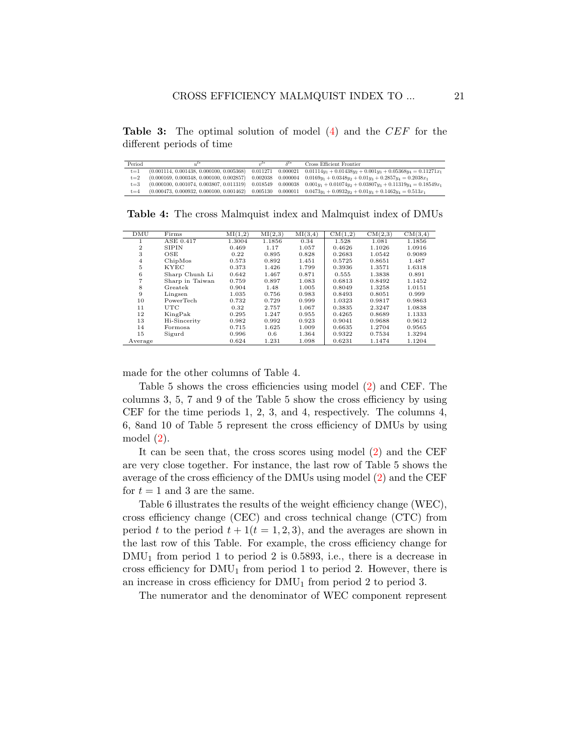Table 3: The optimal solution of model [\(4\)](#page-6-0) and the CEF for the different periods of time

| Period  |                                            | $21^{L*}$ | $\delta^{t*}$ | Cross Efficient Frontier                                       |
|---------|--------------------------------------------|-----------|---------------|----------------------------------------------------------------|
| $t = 1$ | $(0.001114, 0.001438, 0.000100, 0.005368)$ | 0.011271  | 0.000021      | $0.01114y_1 + 0.01438y_2 + 0.001y_3 + 0.05368y_4 = 0.11271x_1$ |
| $t = 2$ | $(0.000169, 0.000348, 0.000100, 0.002857)$ | 0.002038  | 0.000004      | $0.0169y_1 + 0.0348y_2 + 0.01y_3 + 0.2857y_4 = 0.2038x_1$      |
| $t = 3$ | $(0.000100, 0.001074, 0.003807, 0.011319)$ | 0.018549  | 0.000038      | $0.001y_1 + 0.01074y_2 + 0.03807y_3 + 0.11319y_4 = 0.18549x_1$ |
| $t = 4$ | $(0.000473, 0.000932, 0.000100, 0.001462)$ | 0.005130  | 0.000011      | $0.0473y_1 + 0.0932y_2 + 0.01y_3 + 0.1462y_4 = 0.513x_1$       |

Table 4: The cross Malmquist index and Malmquist index of DMUs

| DMU            | Firms           | MI(1,2) | MI(2,3) | MI(3,4) | CM(1,2) | CM(2,3) | CM(3,4) |
|----------------|-----------------|---------|---------|---------|---------|---------|---------|
|                | ASE 0.417       | 1.3004  | 1.1856  | 0.34    | 1.528   | 1.081   | 1.1856  |
| $\overline{2}$ | <b>SIPIN</b>    | 0.469   | 1.17    | 1.057   | 0.4626  | 1.1026  | 1.0916  |
| 3              | OSE             | 0.22    | 0.895   | 0.828   | 0.2683  | 1.0542  | 0.9089  |
| $\overline{4}$ | ChipMos         | 0.573   | 0.892   | 1.451   | 0.5725  | 0.8651  | 1.487   |
| 5              | <b>KYEC</b>     | 0.373   | 1.426   | 1.799   | 0.3936  | 1.3571  | 1.6318  |
| 6              | Sharp Chunh Li  | 0.642   | 1.467   | 0.871   | 0.555   | 1.3838  | 0.891   |
| 7              | Sharp in Taiwan | 0.759   | 0.897   | 1.083   | 0.6813  | 0.8492  | 1.1452  |
| 8              | Greatek         | 0.904   | 1.48    | 1.005   | 0.8049  | 1.3258  | 1.0151  |
| 9              | Lingsen         | 1.035   | 0.756   | 0.983   | 0.8493  | 0.8051  | 0.999   |
| 10             | PowerTech       | 0.732   | 0.729   | 0.999   | 1.0323  | 0.9817  | 0.9863  |
| 11             | UTC             | 0.32    | 2.757   | 1.067   | 0.3835  | 2.3247  | 1.0838  |
| 12             | KingPak         | 0.295   | 1.247   | 0.955   | 0.4265  | 0.8689  | 1.1333  |
| 13             | Hi-Sincerity    | 0.982   | 0.992   | 0.923   | 0.9041  | 0.9688  | 0.9612  |
| 14             | Formosa         | 0.715   | 1.625   | 1.009   | 0.6635  | 1.2704  | 0.9565  |
| 15             | Sigurd          | 0.996   | 0.6     | 1.364   | 0.9322  | 0.7534  | 1.3294  |
| Average        |                 | 0.624   | 1.231   | 1.098   | 0.6231  | 1.1474  | 1.1204  |

made for the other columns of Table 4.

Table 5 shows the cross efficiencies using model [\(2\)](#page-5-0) and CEF. The columns 3, 5, 7 and 9 of the Table 5 show the cross efficiency by using CEF for the time periods 1, 2, 3, and 4, respectively. The columns 4, 6, 8and 10 of Table 5 represent the cross efficiency of DMUs by using model [\(2\)](#page-5-0).

It can be seen that, the cross scores using model [\(2\)](#page-5-0) and the CEF are very close together. For instance, the last row of Table 5 shows the average of the cross efficiency of the DMUs using model [\(2\)](#page-5-0) and the CEF for  $t = 1$  and 3 are the same.

Table 6 illustrates the results of the weight efficiency change (WEC), cross efficiency change (CEC) and cross technical change (CTC) from period t to the period  $t + 1(t = 1, 2, 3)$ , and the averages are shown in the last row of this Table. For example, the cross efficiency change for  $DMU_1$  from period 1 to period 2 is 0.5893, i.e., there is a decrease in cross efficiency for  $DMU_1$  from period 1 to period 2. However, there is an increase in cross efficiency for  $\text{DMU}_1$  from period 2 to period 3.

The numerator and the denominator of WEC component represent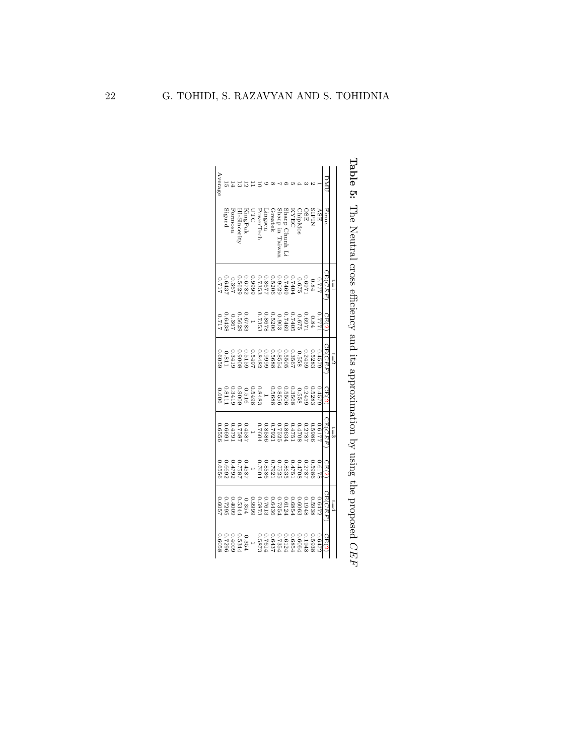|       |                                | $\tilde{I} = 1$ |                                                                                                                                                                                                                                                                   | $z=1$  |                                                                                                                                                                                                                                                                                   | $t = 3$        |       | $t = 4$        |       |
|-------|--------------------------------|-----------------|-------------------------------------------------------------------------------------------------------------------------------------------------------------------------------------------------------------------------------------------------------------------|--------|-----------------------------------------------------------------------------------------------------------------------------------------------------------------------------------------------------------------------------------------------------------------------------------|----------------|-------|----------------|-------|
|       | Firms                          | CE( <i>CEF</i>  | CE(2)                                                                                                                                                                                                                                                             | CE(CEF | CE(2                                                                                                                                                                                                                                                                              | CE( <i>CEF</i> | CE(2) | CE( <i>CEF</i> | CE(2) |
|       | ASE                            |                 |                                                                                                                                                                                                                                                                   | 0.4579 |                                                                                                                                                                                                                                                                                   | 0.6177         | 719.0 |                |       |
|       | SIPIL                          |                 |                                                                                                                                                                                                                                                                   |        |                                                                                                                                                                                                                                                                                   |                |       |                |       |
|       | OSE                            |                 |                                                                                                                                                                                                                                                                   |        |                                                                                                                                                                                                                                                                                   |                |       |                |       |
|       |                                |                 |                                                                                                                                                                                                                                                                   |        |                                                                                                                                                                                                                                                                                   |                |       |                |       |
|       |                                |                 |                                                                                                                                                                                                                                                                   |        |                                                                                                                                                                                                                                                                                   |                |       |                |       |
|       | ChipMos<br>KYEC<br>Sharp Chunh |                 |                                                                                                                                                                                                                                                                   |        |                                                                                                                                                                                                                                                                                   |                |       |                |       |
|       | Sharp in Taiwa                 |                 |                                                                                                                                                                                                                                                                   |        |                                                                                                                                                                                                                                                                                   |                |       |                |       |
|       | Greatek                        |                 |                                                                                                                                                                                                                                                                   |        |                                                                                                                                                                                                                                                                                   |                |       |                |       |
|       | $\frac{1}{2}$                  |                 |                                                                                                                                                                                                                                                                   |        |                                                                                                                                                                                                                                                                                   |                |       |                |       |
|       | Power Tec                      |                 |                                                                                                                                                                                                                                                                   |        |                                                                                                                                                                                                                                                                                   |                |       |                |       |
|       |                                |                 |                                                                                                                                                                                                                                                                   |        |                                                                                                                                                                                                                                                                                   |                |       |                |       |
|       |                                |                 |                                                                                                                                                                                                                                                                   |        |                                                                                                                                                                                                                                                                                   |                |       |                |       |
|       | KingPak<br>Hi-Sincerity        |                 |                                                                                                                                                                                                                                                                   |        |                                                                                                                                                                                                                                                                                   |                |       |                |       |
|       |                                |                 |                                                                                                                                                                                                                                                                   |        |                                                                                                                                                                                                                                                                                   |                |       |                |       |
|       | ${\bf Formosa}$ Sigurd         |                 | $\begin{array}{l} 0.7771\\ 0.08774\\ 0.06874\\ 0.0744\\ 0.0744\\ 0.0744\\ 0.0000\\ 0.0000\\ 0.0000\\ 0.0000\\ 0.0000\\ 0.0000\\ 0.0000\\ 0.0000\\ 0.0000\\ 0.0000\\ 0.0000\\ 0.0000\\ 0.0000\\ 0.0000\\ 0.0000\\ 0.0000\\ 0.0000\\ 0.0000\\ 0.0000\\ 0.0000\\ 0.$ |        | $\begin{smallmatrix} 0.45722 \\ 0.152333 \\ 0.1532335 \\ 0.1532355 \\ 0.1532355 \\ 0.1532555 \\ 0.1532555 \\ 0.1532555 \\ 0.1532555 \\ 0.1532555 \\ 0.1532555 \\ 0.1532555 \\ 0.1532555 \\ 0.1532555 \\ 0.1532555 \\ 0.1532555 \\ 0.1532555 \\ 0.1532555 \\ 0.1532555 \\ 0.15325$ |                |       |                |       |
| Avera |                                |                 |                                                                                                                                                                                                                                                                   |        |                                                                                                                                                                                                                                                                                   |                |       |                |       |

Table 5: The Neutral cross efficiency and its approximation by using the proposed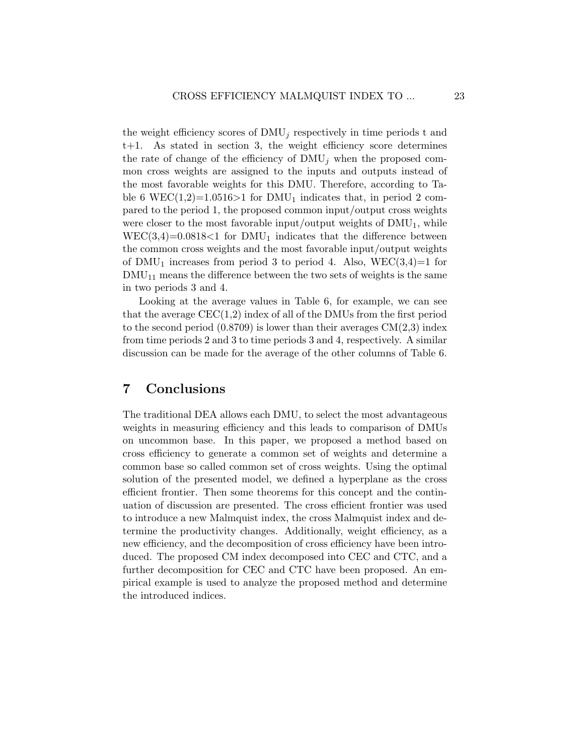the weight efficiency scores of  $\text{DMU}_i$  respectively in time periods t and t+1. As stated in section 3, the weight efficiency score determines the rate of change of the efficiency of  $\text{DMU}_i$  when the proposed common cross weights are assigned to the inputs and outputs instead of the most favorable weights for this DMU. Therefore, according to Table 6 WEC(1,2)=1.0516>1 for DMU<sub>1</sub> indicates that, in period 2 compared to the period 1, the proposed common input/output cross weights were closer to the most favorable input/output weights of  $\text{DMU}_1$ , while  $WEC(3,4)=0.0818<1$  for DMU<sub>1</sub> indicates that the difference between the common cross weights and the most favorable input/output weights of  $DMU_1$  increases from period 3 to period 4. Also,  $WEC(3,4)=1$  for  $\text{DMU}_{11}$  means the difference between the two sets of weights is the same in two periods 3 and 4.

Looking at the average values in Table 6, for example, we can see that the average  $CEC(1,2)$  index of all of the DMUs from the first period to the second period  $(0.8709)$  is lower than their averages  $CM(2,3)$  index from time periods 2 and 3 to time periods 3 and 4, respectively. A similar discussion can be made for the average of the other columns of Table 6.

## 7 Conclusions

The traditional DEA allows each DMU, to select the most advantageous weights in measuring efficiency and this leads to comparison of DMUs on uncommon base. In this paper, we proposed a method based on cross efficiency to generate a common set of weights and determine a common base so called common set of cross weights. Using the optimal solution of the presented model, we defined a hyperplane as the cross efficient frontier. Then some theorems for this concept and the continuation of discussion are presented. The cross efficient frontier was used to introduce a new Malmquist index, the cross Malmquist index and determine the productivity changes. Additionally, weight efficiency, as a new efficiency, and the decomposition of cross efficiency have been introduced. The proposed CM index decomposed into CEC and CTC, and a further decomposition for CEC and CTC have been proposed. An empirical example is used to analyze the proposed method and determine the introduced indices.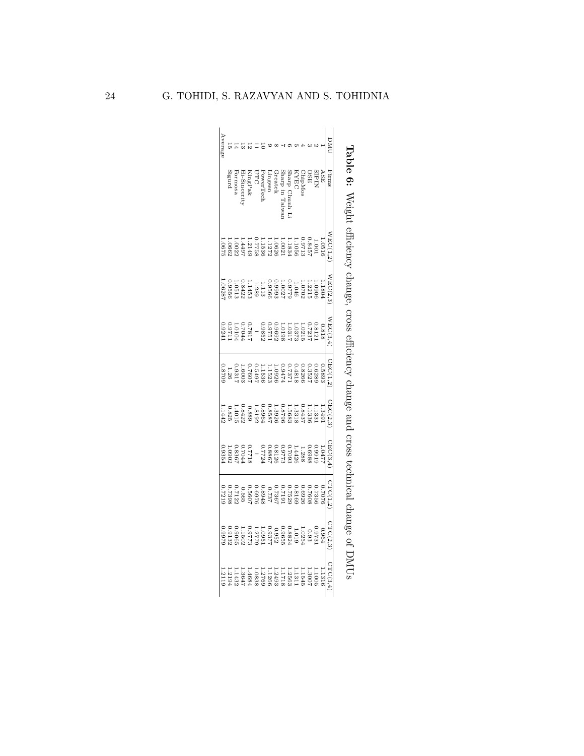|       |                                              |                                                                                                                                                                                                                                                                     | change                                                                                                                                                                                                                                                                                | <b>CTOSS</b>                                                                                                                                                                                                                                                           |                   | pue:                                                                                                                                                                                                                                                                                                | <b>CTOSS</b>                                                                                                                                                                                                                                                     |         |                                                                                                                                                                                                                                                |                                                                                                                                                                                                                                                                                             |
|-------|----------------------------------------------|---------------------------------------------------------------------------------------------------------------------------------------------------------------------------------------------------------------------------------------------------------------------|---------------------------------------------------------------------------------------------------------------------------------------------------------------------------------------------------------------------------------------------------------------------------------------|------------------------------------------------------------------------------------------------------------------------------------------------------------------------------------------------------------------------------------------------------------------------|-------------------|-----------------------------------------------------------------------------------------------------------------------------------------------------------------------------------------------------------------------------------------------------------------------------------------------------|------------------------------------------------------------------------------------------------------------------------------------------------------------------------------------------------------------------------------------------------------------------|---------|------------------------------------------------------------------------------------------------------------------------------------------------------------------------------------------------------------------------------------------------|---------------------------------------------------------------------------------------------------------------------------------------------------------------------------------------------------------------------------------------------------------------------------------------------|
|       |                                              |                                                                                                                                                                                                                                                                     |                                                                                                                                                                                                                                                                                       |                                                                                                                                                                                                                                                                        |                   |                                                                                                                                                                                                                                                                                                     |                                                                                                                                                                                                                                                                  |         |                                                                                                                                                                                                                                                |                                                                                                                                                                                                                                                                                             |
|       | Firms                                        | NEC(1,2)                                                                                                                                                                                                                                                            | NEC(2,3                                                                                                                                                                                                                                                                               | WEC(3,4)                                                                                                                                                                                                                                                               | $\text{BCC}(1,2)$ | CEC(2,3                                                                                                                                                                                                                                                                                             | CEC(3,4                                                                                                                                                                                                                                                          | CTC(1,2 | STC(2,3)                                                                                                                                                                                                                                       | CTC(3,4)                                                                                                                                                                                                                                                                                    |
|       | ASE                                          |                                                                                                                                                                                                                                                                     |                                                                                                                                                                                                                                                                                       |                                                                                                                                                                                                                                                                        |                   |                                                                                                                                                                                                                                                                                                     |                                                                                                                                                                                                                                                                  |         | 0.964                                                                                                                                                                                                                                          |                                                                                                                                                                                                                                                                                             |
|       | SIPIN                                        | $\begin{smallmatrix} 1.0516\\ 0.3511\\ 0.3711\\ 0.3834\\ 0.00571\\ 0.00571\\ 0.00571\\ 0.00572\\ 0.00572\\ 0.00572\\ 0.00572\\ 0.00572\\ 0.00572\\ 0.00572\\ 0.00572\\ 0.00572\\ 0.00572\\ 0.00572\\ 0.00572\\ 0.00572\\ 0.00572\\ 0.00572\\ 0.00572\\ 0.00572\\ 0$ | $\begin{array}{l} 1.13\,04 \\ 1.13\,04 \\ 1.22\,11 \\ 1.23\,10 \\ 1.24\,0 \\ 1.25\,0 \\ 1.26\,0 \\ 1.27\,0 \\ 1.28\,0 \\ 1.29\,0 \\ 1.23\,0 \\ 1.24\,0 \\ 1.24\,0 \\ 1.25\,0 \\ 1.26\,0 \\ 1.27\,0 \\ 1.28\,0 \\ 1.29\,0 \\ 1.29\,0 \\ 1.28\,0 \\ 1.29\,0 \\ 1.29\,0 \\ 1.29\,0 \\ 1$ | $\begin{smallmatrix}0.0818\\0.07237\\0.07237\\0.03721\\0.03821\\0.03936\\0.03955\\0.03955\\0.0397\\0.0397\\0.0397\\0.03924\\0.03924\\0.03924\\0.03924\\0.03924\\0.03924\\0.03924\\0.03924\\0.03924\\0.03924\\0.03924\\0.03924\\0.03924\\0.03924\\0.03924\\0.03924\\0.$ |                   | $\begin{smallmatrix} 1.11 & 33 & 39 & 11 \\ 1.11 & 1.3 & 33 & 52 \\ 1.11 & 1.3 & 1.3 & 6 \\ 1.11 & 1.3 & 1.5 & 6 \\ 1.11 & 1.3 & 1.5 & 6 \\ 1.11 & 1.3 & 1.5 & 6 \\ 1.11 & 1.4 & 1.5 & 6 \\ 1.11 & 1.5 & 1.5 & 6 \\ 1.5 & 1.5 & 1.5 & 6 \\ 1.6 & 1.5 & 1.5 & 6 \\ 1.7 & 1.5 & 1.5 & 6 \\ 1.7 & 1.5$ | $\begin{smallmatrix}1.0477\\ 1.048888\\ 0.060888\\ 0.071447709\\ 0.071771\\ 0.071771\\ 0.071771\\ 0.071771\\ 0.071771\\ 0.071771\\ 0.071771\\ 0.071771\\ 0.071771\\ 0.071771\\ 0.071771\\ 0.071771\\ 0.071771\\ 0.071771\\ 0.071771\\ 0.071771\\ 0.071771\\ 0.0$ |         | $\begin{smallmatrix} &0.9731\\ &1.10333\\ &0.92543\\ &0.92543\\ &0.936552\\ &0.936552\\ &0.93777\\ &0.93777\\ &0.93777\\ &0.93777\\ &0.93977\\ &0.99977\\ &0.99977\\ &0.99979\\ &0.99979\\ &0.99979\\ &0.99979\\ &0.99979\\ \end{smallmatrix}$ |                                                                                                                                                                                                                                                                                             |
|       |                                              |                                                                                                                                                                                                                                                                     |                                                                                                                                                                                                                                                                                       |                                                                                                                                                                                                                                                                        |                   |                                                                                                                                                                                                                                                                                                     |                                                                                                                                                                                                                                                                  |         |                                                                                                                                                                                                                                                |                                                                                                                                                                                                                                                                                             |
|       |                                              |                                                                                                                                                                                                                                                                     |                                                                                                                                                                                                                                                                                       |                                                                                                                                                                                                                                                                        |                   |                                                                                                                                                                                                                                                                                                     |                                                                                                                                                                                                                                                                  |         |                                                                                                                                                                                                                                                |                                                                                                                                                                                                                                                                                             |
|       | KYÉC<br>Sharp Chunh Li<br>Sharp in Taiwan    |                                                                                                                                                                                                                                                                     |                                                                                                                                                                                                                                                                                       |                                                                                                                                                                                                                                                                        |                   |                                                                                                                                                                                                                                                                                                     |                                                                                                                                                                                                                                                                  |         |                                                                                                                                                                                                                                                | $\begin{array}{c} 1.11005 \\ 1.1111 \\ 1.1126 \\ 1.1136 \\ 1.1126 \\ 1.1136 \\ 1.1136 \\ 1.1136 \\ 1.1136 \\ 1.1136 \\ 1.1136 \\ 1.1136 \\ 1.1136 \\ 1.1136 \\ 1.1136 \\ 1.1136 \\ 1.1136 \\ 1.1136 \\ 1.1136 \\ 1.1136 \\ 1.1136 \\ 1.1136 \\ 1.1136 \\ 1.1131 \\ 1.1131 \\ 1.1131 \\ 1.1$ |
|       |                                              |                                                                                                                                                                                                                                                                     |                                                                                                                                                                                                                                                                                       |                                                                                                                                                                                                                                                                        |                   |                                                                                                                                                                                                                                                                                                     |                                                                                                                                                                                                                                                                  |         |                                                                                                                                                                                                                                                |                                                                                                                                                                                                                                                                                             |
|       |                                              |                                                                                                                                                                                                                                                                     |                                                                                                                                                                                                                                                                                       |                                                                                                                                                                                                                                                                        |                   |                                                                                                                                                                                                                                                                                                     |                                                                                                                                                                                                                                                                  |         |                                                                                                                                                                                                                                                |                                                                                                                                                                                                                                                                                             |
|       | Greatek                                      |                                                                                                                                                                                                                                                                     |                                                                                                                                                                                                                                                                                       |                                                                                                                                                                                                                                                                        |                   |                                                                                                                                                                                                                                                                                                     |                                                                                                                                                                                                                                                                  |         |                                                                                                                                                                                                                                                |                                                                                                                                                                                                                                                                                             |
|       | Lingsen                                      |                                                                                                                                                                                                                                                                     |                                                                                                                                                                                                                                                                                       |                                                                                                                                                                                                                                                                        |                   |                                                                                                                                                                                                                                                                                                     |                                                                                                                                                                                                                                                                  |         |                                                                                                                                                                                                                                                |                                                                                                                                                                                                                                                                                             |
|       | Power Tech                                   |                                                                                                                                                                                                                                                                     |                                                                                                                                                                                                                                                                                       |                                                                                                                                                                                                                                                                        |                   |                                                                                                                                                                                                                                                                                                     |                                                                                                                                                                                                                                                                  |         |                                                                                                                                                                                                                                                |                                                                                                                                                                                                                                                                                             |
|       |                                              |                                                                                                                                                                                                                                                                     |                                                                                                                                                                                                                                                                                       |                                                                                                                                                                                                                                                                        |                   |                                                                                                                                                                                                                                                                                                     |                                                                                                                                                                                                                                                                  |         |                                                                                                                                                                                                                                                |                                                                                                                                                                                                                                                                                             |
|       |                                              |                                                                                                                                                                                                                                                                     |                                                                                                                                                                                                                                                                                       |                                                                                                                                                                                                                                                                        |                   |                                                                                                                                                                                                                                                                                                     |                                                                                                                                                                                                                                                                  |         |                                                                                                                                                                                                                                                |                                                                                                                                                                                                                                                                                             |
|       |                                              |                                                                                                                                                                                                                                                                     |                                                                                                                                                                                                                                                                                       |                                                                                                                                                                                                                                                                        |                   |                                                                                                                                                                                                                                                                                                     |                                                                                                                                                                                                                                                                  |         |                                                                                                                                                                                                                                                |                                                                                                                                                                                                                                                                                             |
|       |                                              |                                                                                                                                                                                                                                                                     |                                                                                                                                                                                                                                                                                       |                                                                                                                                                                                                                                                                        |                   |                                                                                                                                                                                                                                                                                                     |                                                                                                                                                                                                                                                                  |         |                                                                                                                                                                                                                                                |                                                                                                                                                                                                                                                                                             |
|       | KingPak<br>Hi-Sincerity<br>Formosa<br>Sigurd |                                                                                                                                                                                                                                                                     |                                                                                                                                                                                                                                                                                       |                                                                                                                                                                                                                                                                        |                   |                                                                                                                                                                                                                                                                                                     |                                                                                                                                                                                                                                                                  |         |                                                                                                                                                                                                                                                |                                                                                                                                                                                                                                                                                             |
| Avera |                                              |                                                                                                                                                                                                                                                                     |                                                                                                                                                                                                                                                                                       |                                                                                                                                                                                                                                                                        |                   |                                                                                                                                                                                                                                                                                                     |                                                                                                                                                                                                                                                                  |         |                                                                                                                                                                                                                                                |                                                                                                                                                                                                                                                                                             |

|   | 1                                                            |
|---|--------------------------------------------------------------|
|   | $\frac{1}{2}$                                                |
|   | ξ                                                            |
| l | j                                                            |
|   | :<br>גוני                                                    |
|   | 3                                                            |
|   | שנש שנש פי                                                   |
|   |                                                              |
|   |                                                              |
|   | - ChromeDic conner Chicago cochanances chromeDic Children Co |
|   | ì                                                            |
|   | j<br>$\frac{1}{2}$                                           |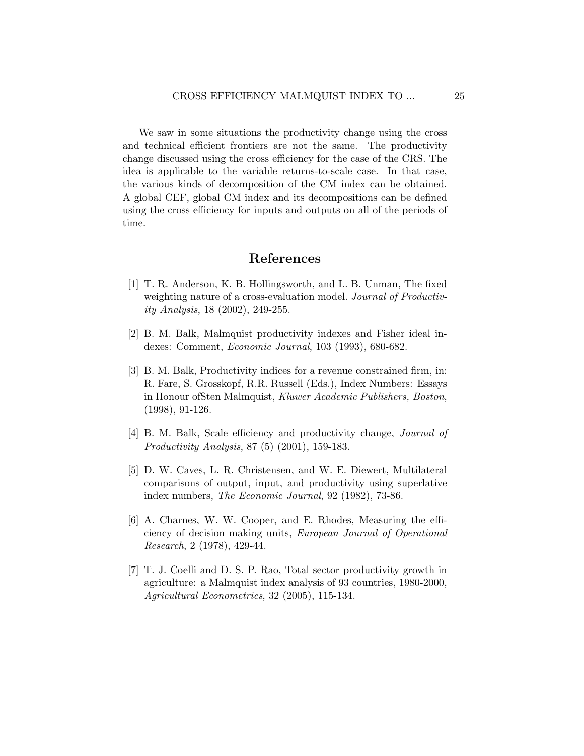We saw in some situations the productivity change using the cross and technical efficient frontiers are not the same. The productivity change discussed using the cross efficiency for the case of the CRS. The idea is applicable to the variable returns-to-scale case. In that case, the various kinds of decomposition of the CM index can be obtained. A global CEF, global CM index and its decompositions can be defined using the cross efficiency for inputs and outputs on all of the periods of time.

## References

- <span id="page-24-1"></span>[1] T. R. Anderson, K. B. Hollingsworth, and L. B. Unman, The fixed weighting nature of a cross-evaluation model. Journal of Productivity Analysis, 18 (2002), 249-255.
- <span id="page-24-5"></span>[2] B. M. Balk, Malmquist productivity indexes and Fisher ideal indexes: Comment, Economic Journal, 103 (1993), 680-682.
- <span id="page-24-4"></span>[3] B. M. Balk, Productivity indices for a revenue constrained firm, in: R. Fare, S. Grosskopf, R.R. Russell (Eds.), Index Numbers: Essays in Honour ofSten Malmquist, Kluwer Academic Publishers, Boston, (1998), 91-126.
- <span id="page-24-6"></span>[4] B. M. Balk, Scale efficiency and productivity change, Journal of Productivity Analysis, 87 (5) (2001), 159-183.
- <span id="page-24-2"></span>[5] D. W. Caves, L. R. Christensen, and W. E. Diewert, Multilateral comparisons of output, input, and productivity using superlative index numbers, The Economic Journal, 92 (1982), 73-86.
- <span id="page-24-0"></span>[6] A. Charnes, W. W. Cooper, and E. Rhodes, Measuring the efficiency of decision making units, European Journal of Operational Research, 2 (1978), 429-44.
- <span id="page-24-3"></span>[7] T. J. Coelli and D. S. P. Rao, Total sector productivity growth in agriculture: a Malmquist index analysis of 93 countries, 1980-2000, Agricultural Econometrics, 32 (2005), 115-134.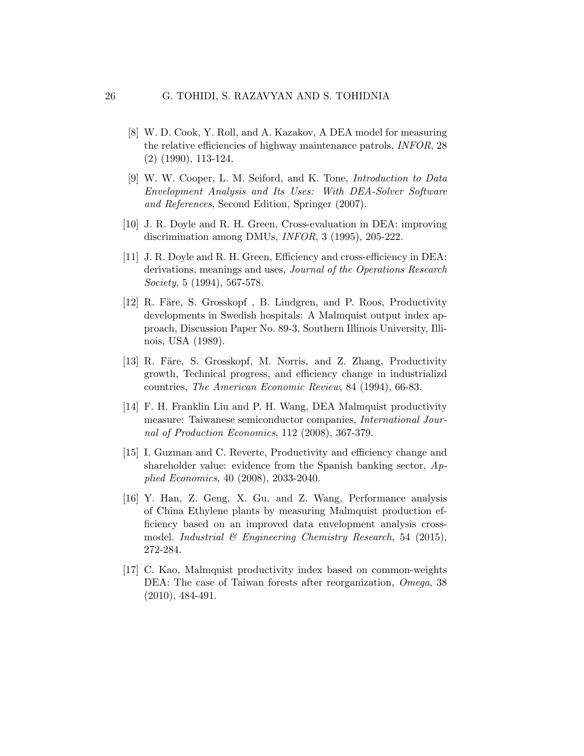- <span id="page-25-2"></span>[8] W. D. Cook, Y. Roll, and A. Kazakov, A DEA model for measuring the relative efficiencies of highway maintenance patrols, INFOR, 28 (2) (1990), 113-124.
- <span id="page-25-7"></span>[9] W. W. Cooper, L. M. Seiford, and K. Tone, Introduction to Data Envelopment Analysis and Its Uses: With DEA-Solver Software and References, Second Edition, Springer (2007).
- <span id="page-25-1"></span>[10] J. R. Doyle and R. H. Green, Cross-evaluation in DEA: improving discrimination among DMUs, INFOR, 3 (1995), 205-222.
- <span id="page-25-0"></span>[11] J. R. Doyle and R. H. Green, Efficiency and cross-efficiency in DEA: derivations, meanings and uses, Journal of the Operations Research Society, 5 (1994), 567-578.
- <span id="page-25-8"></span>[12] R. Färe, S. Grosskopf, B. Lindgren, and P. Roos, Productivity developments in Swedish hospitals: A Malmquist output index approach, Discussion Paper No. 89-3, Southern Illinois University, Illinois, USA (1989).
- <span id="page-25-4"></span>[13] R. Färe, S. Grosskopf, M. Norris, and Z. Zhang, Productivity growth, Technical progress, and efficiency change in industrializd countries, The American Economic Review, 84 (1994), 66-83.
- <span id="page-25-9"></span>[14] F. H. Franklin Liu and P. H. Wang, DEA Malmquist productivity measure: Taiwanese semiconductor companies, International Journal of Production Economics, 112 (2008), 367-379.
- <span id="page-25-3"></span>[15] I. Guzman and C. Reverte, Productivity and efficiency change and shareholder value: evidence from the Spanish banking sector, Applied Economics, 40 (2008), 2033-2040.
- <span id="page-25-6"></span>[16] Y. Han, Z. Geng, X. Gu, and Z. Wang, Performance analysis of China Ethylene plants by measuring Malmquist production efficiency based on an improved data envelopment analysis crossmodel. Industrial  $\mathcal C$  Engineering Chemistry Research, 54 (2015), 272-284.
- <span id="page-25-5"></span>[17] C. Kao, Malmquist productivity index based on common-weights DEA: The case of Taiwan forests after reorganization, Omega, 38 (2010), 484-491.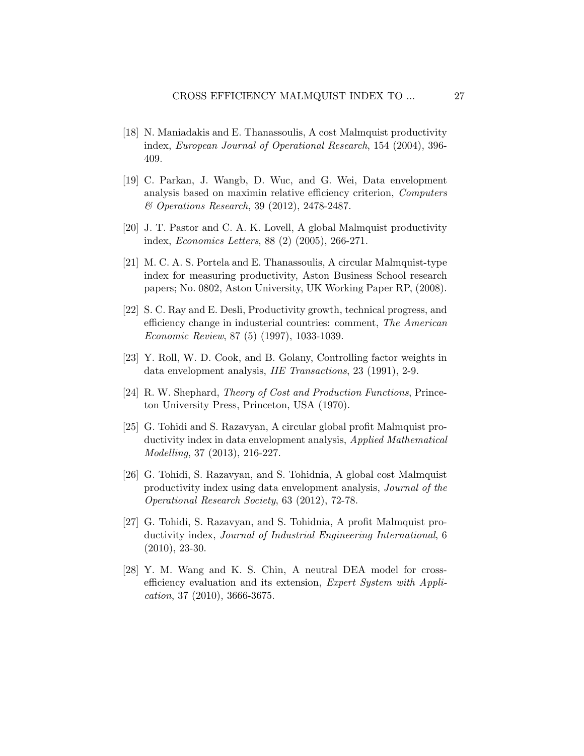- <span id="page-26-4"></span>[18] N. Maniadakis and E. Thanassoulis, A cost Malmquist productivity index, European Journal of Operational Research, 154 (2004), 396- 409.
- <span id="page-26-8"></span>[19] C. Parkan, J. Wangb, D. Wuc, and G. Wei, Data envelopment analysis based on maximin relative efficiency criterion, Computers & Operations Research, 39 (2012), 2478-2487.
- <span id="page-26-2"></span>[20] J. T. Pastor and C. A. K. Lovell, A global Malmquist productivity index, Economics Letters, 88 (2) (2005), 266-271.
- <span id="page-26-3"></span>[21] M. C. A. S. Portela and E. Thanassoulis, A circular Malmquist-type index for measuring productivity, Aston Business School research papers; No. 0802, Aston University, UK Working Paper RP, (2008).
- <span id="page-26-10"></span>[22] S. C. Ray and E. Desli, Productivity growth, technical progress, and efficiency change in industerial countries: comment, The American Economic Review, 87 (5) (1997), 1033-1039.
- <span id="page-26-1"></span>[23] Y. Roll, W. D. Cook, and B. Golany, Controlling factor weights in data envelopment analysis, IIE Transactions, 23 (1991), 2-9.
- <span id="page-26-9"></span>[24] R. W. Shephard, Theory of Cost and Production Functions, Princeton University Press, Princeton, USA (1970).
- <span id="page-26-7"></span>[25] G. Tohidi and S. Razavyan, A circular global profit Malmquist productivity index in data envelopment analysis, Applied Mathematical Modelling, 37 (2013), 216-227.
- <span id="page-26-6"></span>[26] G. Tohidi, S. Razavyan, and S. Tohidnia, A global cost Malmquist productivity index using data envelopment analysis, Journal of the Operational Research Society, 63 (2012), 72-78.
- <span id="page-26-5"></span>[27] G. Tohidi, S. Razavyan, and S. Tohidnia, A profit Malmquist productivity index, Journal of Industrial Engineering International, 6 (2010), 23-30.
- <span id="page-26-0"></span>[28] Y. M. Wang and K. S. Chin, A neutral DEA model for crossefficiency evaluation and its extension, Expert System with Application, 37 (2010), 3666-3675.